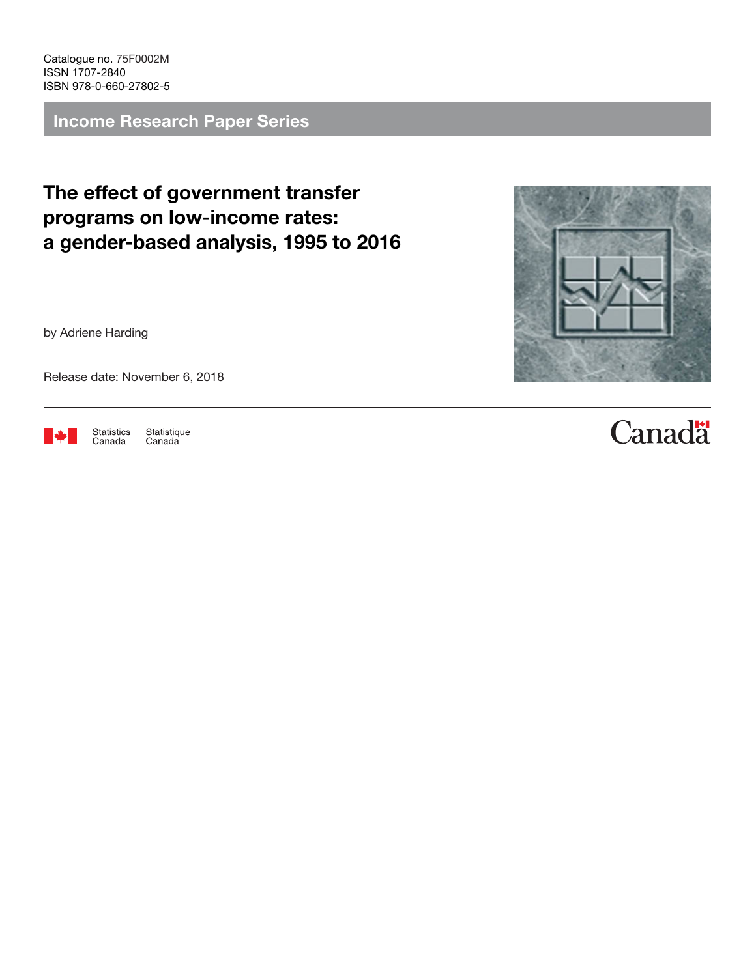Catalogue no. 75F0002M ISSN 1707-2840 ISBN 978-0-660-27802-5

Income Research Paper Series

The effect of government transfer programs on low-income rates: a gender-based analysis, 1995 to 2016

by Adriene Harding

Release date: November 6, 2018



Statistique<br>Canada Statistics Canada

# **Canadä**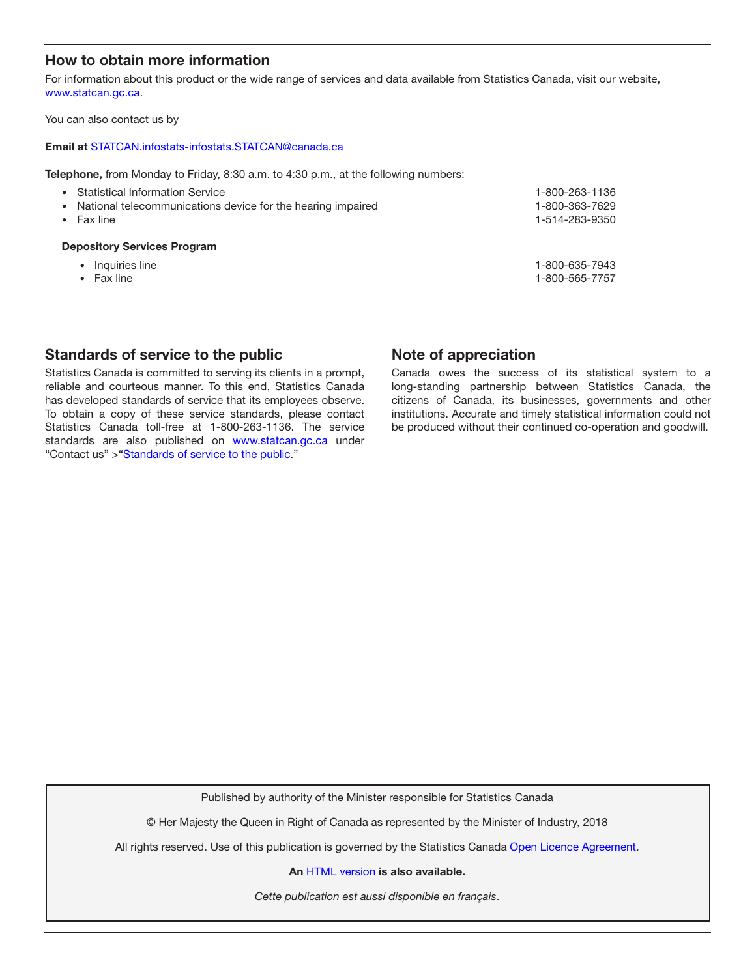### How to obtain more information

For information about this product or the wide range of services and data available from Statistics Canada, visit our website, www.statcan.gc.ca.

You can also contact us by

#### Email at [STATCAN.infostats-infostats.STATCAN@canada.ca](mailto:STATCAN.infostats-infostats.STATCAN%40canada.ca?subject=)

Telephone, from Monday to Friday, 8:30 a.m. to 4:30 p.m., at the following numbers:

| • Statistical Information Service<br>• National telecommunications device for the hearing impaired<br>$\bullet$ Fax line | 1-800-263-1136<br>1-800-363-7629<br>1-514-283-9350 |
|--------------------------------------------------------------------------------------------------------------------------|----------------------------------------------------|
| <b>Depository Services Program</b>                                                                                       |                                                    |
| Inquiries line                                                                                                           | 1-800-635-7943                                     |

- 
- 

• Fax line 1-800-565-7757

### Standards of service to the public

Statistics Canada is committed to serving its clients in a prompt, reliable and courteous manner. To this end, Statistics Canada has developed standards of service that its employees observe. To obtain a copy of these service standards, please contact Statistics Canada toll-free at 1-800-263-1136. The service standards are also published on [www.statcan.gc.ca](https://www.statcan.gc.ca) under "Contact us" >"Standards of service to the public."

#### Note of appreciation

Canada owes the success of its statistical system to a long-standing partnership between Statistics Canada, the citizens of Canada, its businesses, governments and other institutions. Accurate and timely statistical information could not be produced without their continued co-operation and goodwill.

Published by authority of the Minister responsible for Statistics Canada

© Her Majesty the Queen in Right of Canada as represented by the Minister of Industry, 2018

All rights reserved. Use of this publication is governed by the Statistics Canada [Open Licence Agreement](https://www.statcan.gc.ca/eng/reference/licence).

An [HTML version](https://www150.statcan.gc.ca/n1/75f0002m/75f0002m2018003-eng.htm) is also available.

*Cette publication est aussi disponible en français*.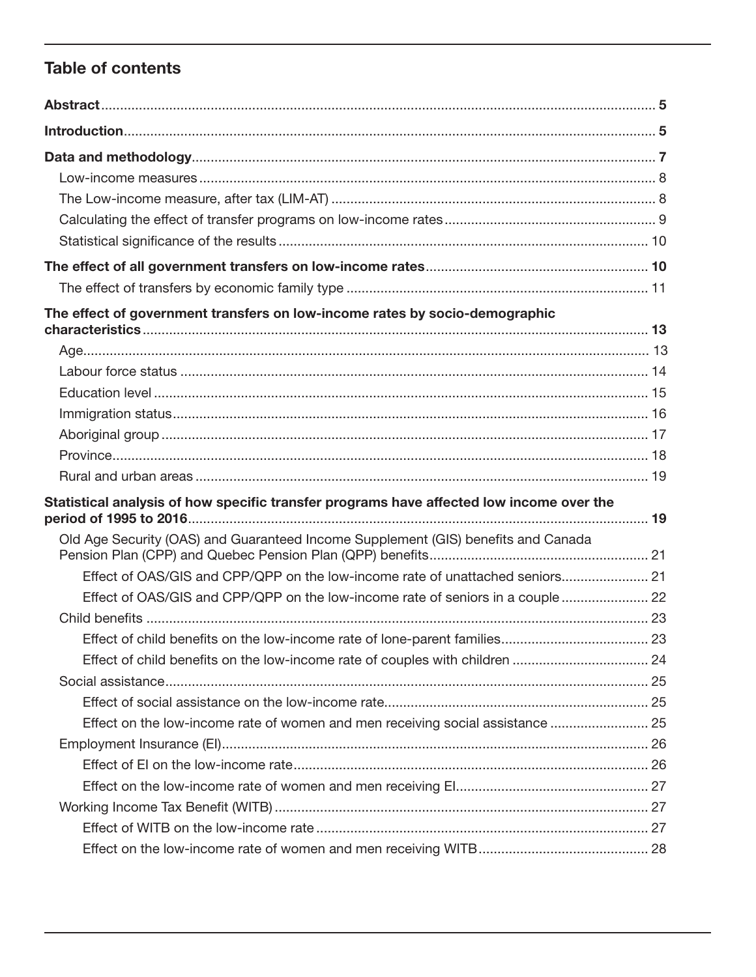### **Table of contents**

| The effect of government transfers on low-income rates by socio-demographic              |  |
|------------------------------------------------------------------------------------------|--|
|                                                                                          |  |
|                                                                                          |  |
|                                                                                          |  |
|                                                                                          |  |
|                                                                                          |  |
|                                                                                          |  |
|                                                                                          |  |
| Statistical analysis of how specific transfer programs have affected low income over the |  |
| Old Age Security (OAS) and Guaranteed Income Supplement (GIS) benefits and Canada        |  |
| Effect of OAS/GIS and CPP/QPP on the low-income rate of unattached seniors 21            |  |
|                                                                                          |  |
| Effect of OAS/GIS and CPP/QPP on the low-income rate of seniors in a couple  22          |  |
|                                                                                          |  |
|                                                                                          |  |
|                                                                                          |  |
|                                                                                          |  |
|                                                                                          |  |
| Effect on the low-income rate of women and men receiving social assistance  25           |  |
|                                                                                          |  |
|                                                                                          |  |
|                                                                                          |  |
|                                                                                          |  |
|                                                                                          |  |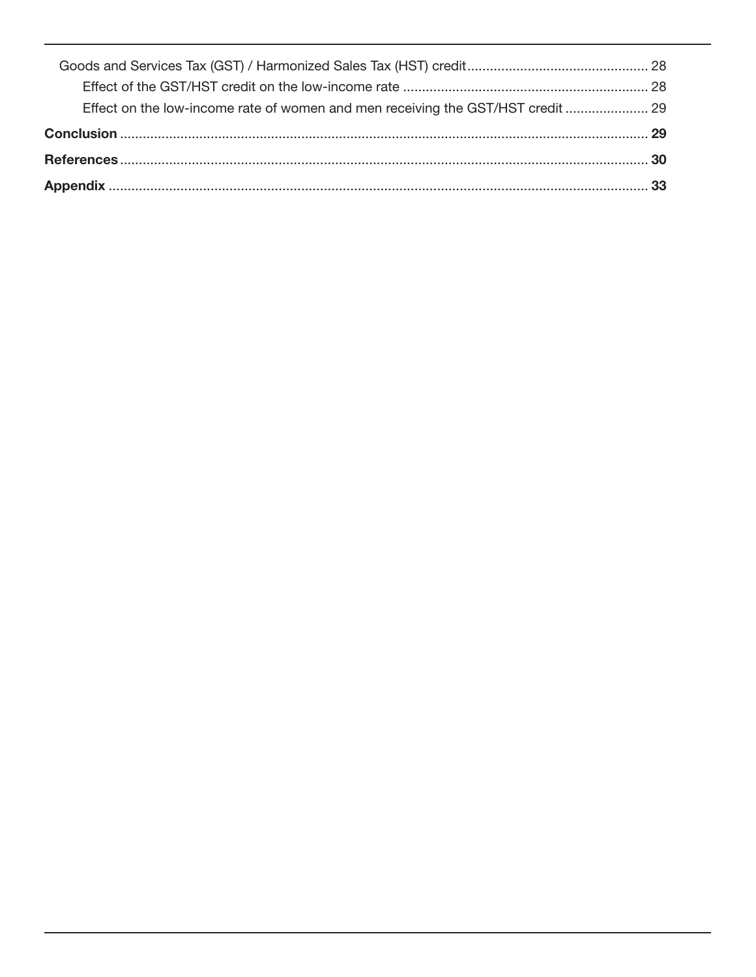| Effect on the low-income rate of women and men receiving the GST/HST credit |  |
|-----------------------------------------------------------------------------|--|
|                                                                             |  |
|                                                                             |  |
|                                                                             |  |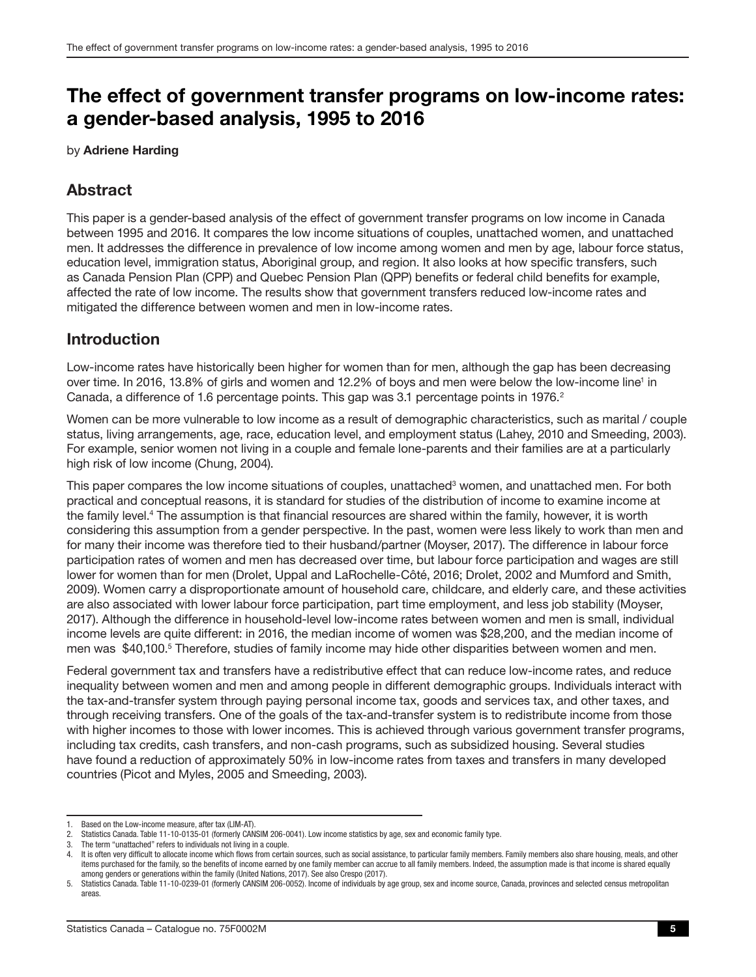## <span id="page-4-0"></span>The effect of government transfer programs on low-income rates: a gender-based analysis, 1995 to 2016

by Adriene Harding

### Abstract

This paper is a gender-based analysis of the effect of government transfer programs on low income in Canada between 1995 and 2016. It compares the low income situations of couples, unattached women, and unattached men. It addresses the difference in prevalence of low income among women and men by age, labour force status, education level, immigration status, Aboriginal group, and region. It also looks at how specific transfers, such as Canada Pension Plan (CPP) and Quebec Pension Plan (QPP) benefits or federal child benefits for example, affected the rate of low income. The results show that government transfers reduced low-income rates and mitigated the difference between women and men in low-income rates.

### Introduction

Low-income rates have historically been higher for women than for men, although the gap has been decreasing over time. In 2016, 13.8% of girls and women and 12.2% of boys and men were below the low-income line<sup>1</sup> in Canada, a difference of 1.6 percentage points. This gap was 3.1 percentage points in 1976.<sup>2</sup>

Women can be more vulnerable to low income as a result of demographic characteristics, such as marital / couple status, living arrangements, age, race, education level, and employment status (Lahey, 2010 and Smeeding, 2003). For example, senior women not living in a couple and female lone-parents and their families are at a particularly high risk of low income (Chung, 2004).

This paper compares the low income situations of couples, unattached<sup>3</sup> women, and unattached men. For both practical and conceptual reasons, it is standard for studies of the distribution of income to examine income at the family level.<sup>4</sup> The assumption is that financial resources are shared within the family, however, it is worth considering this assumption from a gender perspective. In the past, women were less likely to work than men and for many their income was therefore tied to their husband/partner (Moyser, 2017). The difference in labour force participation rates of women and men has decreased over time, but labour force participation and wages are still lower for women than for men (Drolet, Uppal and LaRochelle-Côté, 2016; Drolet, 2002 and Mumford and Smith, 2009). Women carry a disproportionate amount of household care, childcare, and elderly care, and these activities are also associated with lower labour force participation, part time employment, and less job stability (Moyser, 2017). Although the difference in household-level low-income rates between women and men is small, individual income levels are quite different: in 2016, the median income of women was \$28,200, and the median income of men was \$40,100.<sup>5</sup> Therefore, studies of family income may hide other disparities between women and men.

Federal government tax and transfers have a redistributive effect that can reduce low-income rates, and reduce inequality between women and men and among people in different demographic groups. Individuals interact with the tax-and-transfer system through paying personal income tax, goods and services tax, and other taxes, and through receiving transfers. One of the goals of the tax-and-transfer system is to redistribute income from those with higher incomes to those with lower incomes. This is achieved through various government transfer programs, including tax credits, cash transfers, and non-cash programs, such as subsidized housing. Several studies have found a reduction of approximately 50% in low-income rates from taxes and transfers in many developed countries (Picot and Myles, 2005 and Smeeding, 2003).

<sup>1.</sup> Based on the Low-income measure, after tax (LIM-AT).

<sup>2.</sup> Statistics Canada. Table 11-10-0135-01 (formerly CANSIM 206-0041). Low income statistics by age, sex and economic family type.

<sup>3.</sup> The term "unattached" refers to individuals not living in a couple.

<sup>4.</sup> It is often very difficult to allocate income which flows from certain sources, such as social assistance, to particular family members. Family members also share housing, meals, and other items purchased for the family, so the benefits of income earned by one family member can accrue to all family members. Indeed, the assumption made is that income is shared equally among genders or generations within the family (United Nations, 2017). See also Crespo (2017).

<sup>5.</sup> Statistics Canada. Table 11-10-0239-01 (formerly CANSIM 206-0052). Income of individuals by age group, sex and income source, Canada, provinces and selected census metropolitan areas.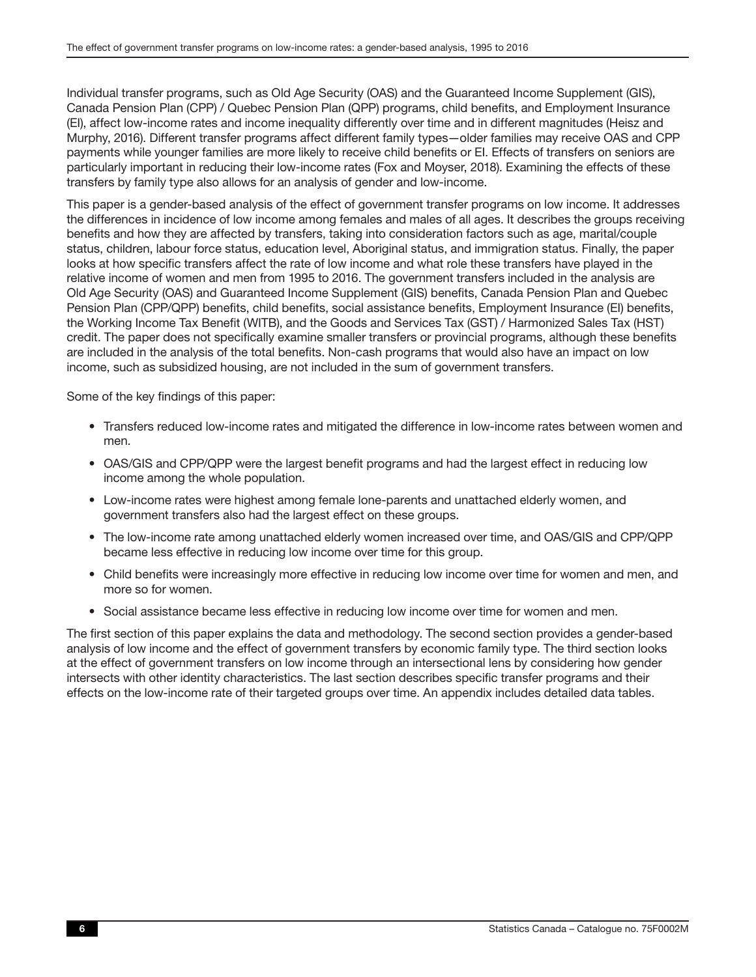Individual transfer programs, such as Old Age Security (OAS) and the Guaranteed Income Supplement (GIS), Canada Pension Plan (CPP) / Quebec Pension Plan (QPP) programs, child benefits, and Employment Insurance (EI), affect low-income rates and income inequality differently over time and in different magnitudes (Heisz and Murphy, 2016). Different transfer programs affect different family types—older families may receive OAS and CPP payments while younger families are more likely to receive child benefits or EI. Effects of transfers on seniors are particularly important in reducing their low-income rates (Fox and Moyser, 2018). Examining the effects of these transfers by family type also allows for an analysis of gender and low-income.

This paper is a gender-based analysis of the effect of government transfer programs on low income. It addresses the differences in incidence of low income among females and males of all ages. It describes the groups receiving benefits and how they are affected by transfers, taking into consideration factors such as age, marital/couple status, children, labour force status, education level, Aboriginal status, and immigration status. Finally, the paper looks at how specific transfers affect the rate of low income and what role these transfers have played in the relative income of women and men from 1995 to 2016. The government transfers included in the analysis are Old Age Security (OAS) and Guaranteed Income Supplement (GIS) benefits, Canada Pension Plan and Quebec Pension Plan (CPP/QPP) benefits, child benefits, social assistance benefits, Employment Insurance (EI) benefits, the Working Income Tax Benefit (WITB), and the Goods and Services Tax (GST) / Harmonized Sales Tax (HST) credit. The paper does not specifically examine smaller transfers or provincial programs, although these benefits are included in the analysis of the total benefits. Non-cash programs that would also have an impact on low income, such as subsidized housing, are not included in the sum of government transfers.

Some of the key findings of this paper:

- Transfers reduced low-income rates and mitigated the difference in low-income rates between women and men.
- OAS/GIS and CPP/QPP were the largest benefit programs and had the largest effect in reducing low income among the whole population.
- Low-income rates were highest among female lone-parents and unattached elderly women, and government transfers also had the largest effect on these groups.
- The low-income rate among unattached elderly women increased over time, and OAS/GIS and CPP/QPP became less effective in reducing low income over time for this group.
- Child benefits were increasingly more effective in reducing low income over time for women and men, and more so for women.
- Social assistance became less effective in reducing low income over time for women and men.

The first section of this paper explains the data and methodology. The second section provides a gender-based analysis of low income and the effect of government transfers by economic family type. The third section looks at the effect of government transfers on low income through an intersectional lens by considering how gender intersects with other identity characteristics. The last section describes specific transfer programs and their effects on the low-income rate of their targeted groups over time. An appendix includes detailed data tables.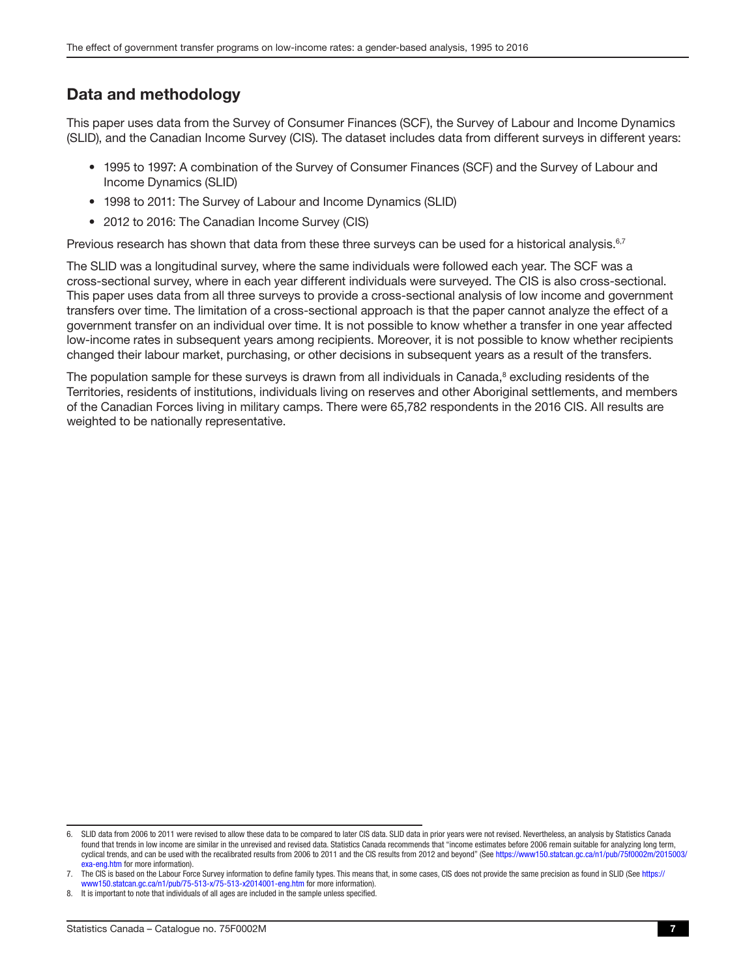### <span id="page-6-0"></span>Data and methodology

This paper uses data from the Survey of Consumer Finances (SCF), the Survey of Labour and Income Dynamics (SLID), and the Canadian Income Survey (CIS). The dataset includes data from different surveys in different years:

- 1995 to 1997: A combination of the Survey of Consumer Finances (SCF) and the Survey of Labour and Income Dynamics (SLID)
- 1998 to 2011: The Survey of Labour and Income Dynamics (SLID)
- 2012 to 2016: The Canadian Income Survey (CIS)

Previous research has shown that data from these three surveys can be used for a historical analysis.<sup>6,7</sup>

The SLID was a longitudinal survey, where the same individuals were followed each year. The SCF was a cross-sectional survey, where in each year different individuals were surveyed. The CIS is also cross-sectional. This paper uses data from all three surveys to provide a cross-sectional analysis of low income and government transfers over time. The limitation of a cross-sectional approach is that the paper cannot analyze the effect of a government transfer on an individual over time. It is not possible to know whether a transfer in one year affected low-income rates in subsequent years among recipients. Moreover, it is not possible to know whether recipients changed their labour market, purchasing, or other decisions in subsequent years as a result of the transfers.

The population sample for these surveys is drawn from all individuals in Canada,<sup>8</sup> excluding residents of the Territories, residents of institutions, individuals living on reserves and other Aboriginal settlements, and members of the Canadian Forces living in military camps. There were 65,782 respondents in the 2016 CIS. All results are weighted to be nationally representative.

<sup>6.</sup> SLID data from 2006 to 2011 were revised to allow these data to be compared to later CIS data. SLID data in prior years were not revised. Nevertheless, an analysis by Statistics Canada found that trends in low income are similar in the unrevised and revised data. Statistics Canada recommends that "income estimates before 2006 remain suitable for analyzing long term. cyclical trends, and can be used with the recalibrated results from 2006 to 2011 and the CIS results from 2012 and beyond" (See https://www150.statcan.gc.ca/n1/pub[/75f0002m/2015003/](https://www150.statcan.gc.ca/n1/pub/75f0002m/2015003/exa-eng.htm) [exa-eng.htm](https://www150.statcan.gc.ca/n1/pub/75f0002m/2015003/exa-eng.htm) for more information).

<sup>7.</sup> The CIS is based on the Labour Force Survey information to define family types. This means that, in some cases, CIS does not provide the same precision as found in SLID (See [https://](https://www150.statcan.gc.ca/n1/pub/75-513-x/75-513-x2014001-eng.htm) [www150.statcan.gc.ca/n1/pub/75-513-x/75-513-x2014001-eng.htm](https://www150.statcan.gc.ca/n1/pub/75-513-x/75-513-x2014001-eng.htm) for more information).

<sup>8.</sup> It is important to note that individuals of all ages are included in the sample unless specified.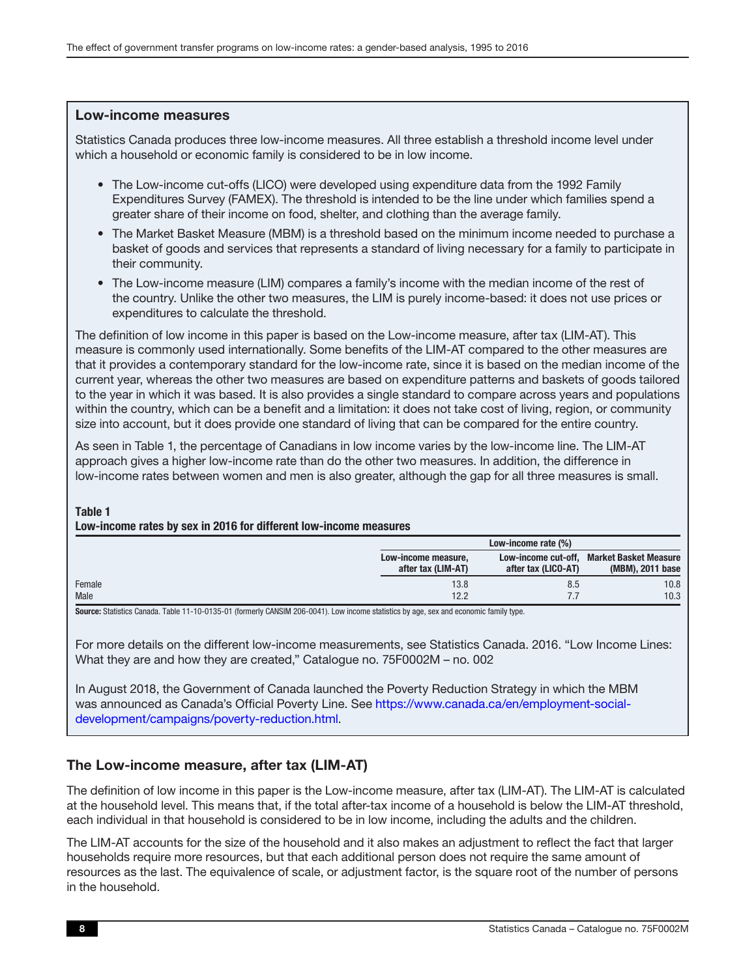#### <span id="page-7-0"></span>Low-income measures

Statistics Canada produces three low-income measures. All three establish a threshold income level under which a household or economic family is considered to be in low income.

- The Low-income cut-offs (LICO) were developed using expenditure data from the 1992 Family Expenditures Survey (FAMEX). The threshold is intended to be the line under which families spend a greater share of their income on food, shelter, and clothing than the average family.
- The Market Basket Measure (MBM) is a threshold based on the minimum income needed to purchase a basket of goods and services that represents a standard of living necessary for a family to participate in their community.
- The Low-income measure (LIM) compares a family's income with the median income of the rest of the country. Unlike the other two measures, the LIM is purely income-based: it does not use prices or expenditures to calculate the threshold.

The definition of low income in this paper is based on the Low-income measure, after tax (LIM-AT). This measure is commonly used internationally. Some benefits of the LIM-AT compared to the other measures are that it provides a contemporary standard for the low-income rate, since it is based on the median income of the current year, whereas the other two measures are based on expenditure patterns and baskets of goods tailored to the year in which it was based. It is also provides a single standard to compare across years and populations within the country, which can be a benefit and a limitation: it does not take cost of living, region, or community size into account, but it does provide one standard of living that can be compared for the entire country.

As seen in Table 1, the percentage of Canadians in low income varies by the low-income line. The LIM-AT approach gives a higher low-income rate than do the other two measures. In addition, the difference in low-income rates between women and men is also greater, although the gap for all three measures is small.

#### Table 1

#### Low-income rates by sex in 2016 for different low-income measures

|        |                                           | Low-income rate (%) |                                                               |
|--------|-------------------------------------------|---------------------|---------------------------------------------------------------|
|        | Low-income measure,<br>after tax (LIM-AT) | after tax (LICO-AT) | Low-income cut-off. Market Basket Measure<br>(MBM), 2011 base |
| Female | 13.8                                      | 8.5                 | 10.8                                                          |
| Male   | 12.2                                      |                     | 10.3                                                          |

Source: Statistics Canada. Table 11-10-0135-01 (formerly CANSIM 206-0041). Low income statistics by age, sex and economic family type.

For more details on the different low-income measurements, see Statistics Canada. 2016. "Low Income Lines: What they are and how they are created," Catalogue no. 75F0002M – no. 002

In August 2018, the Government of Canada launched the Poverty Reduction Strategy in which the MBM was announced as Canada's Official Poverty Line. See [https://www.canada.ca/en/employment-social](https://www.canada.ca/en/employment-social-development/campaigns/poverty-reduction.html)[development/campaigns/poverty-reduction.html.](https://www.canada.ca/en/employment-social-development/campaigns/poverty-reduction.html)

### The Low-income measure, after tax (LIM-AT)

The definition of low income in this paper is the Low-income measure, after tax (LIM-AT). The LIM-AT is calculated at the household level. This means that, if the total after-tax income of a household is below the LIM-AT threshold, each individual in that household is considered to be in low income, including the adults and the children.

The LIM-AT accounts for the size of the household and it also makes an adjustment to reflect the fact that larger households require more resources, but that each additional person does not require the same amount of resources as the last. The equivalence of scale, or adjustment factor, is the square root of the number of persons in the household.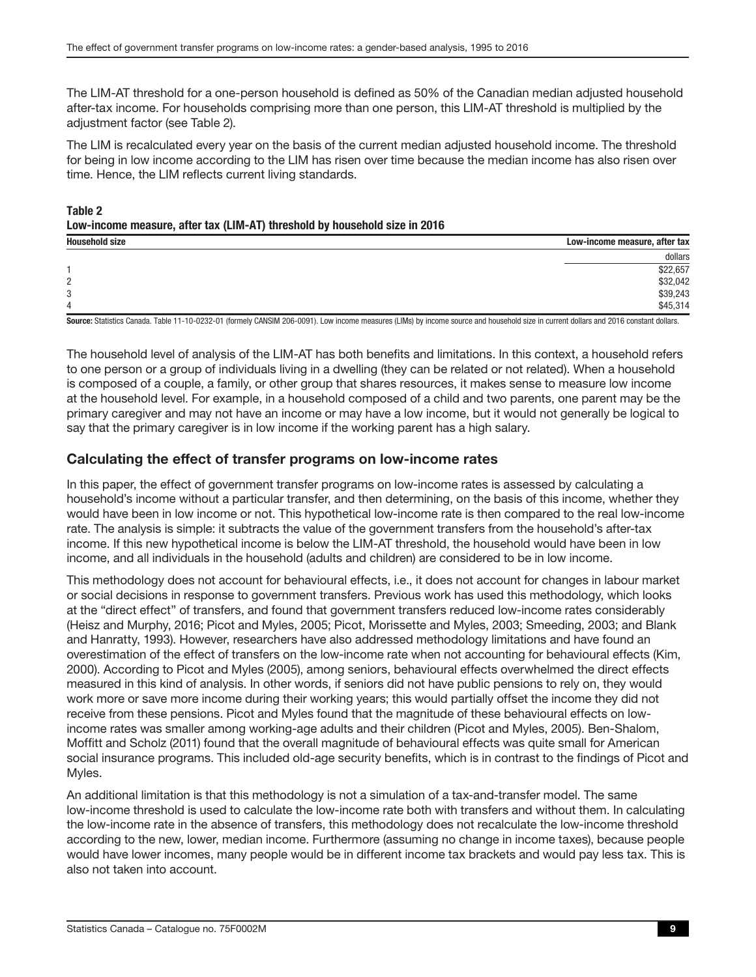<span id="page-8-0"></span>The LIM-AT threshold for a one-person household is defined as 50% of the Canadian median adjusted household after-tax income. For households comprising more than one person, this LIM-AT threshold is multiplied by the adjustment factor (see Table 2).

The LIM is recalculated every year on the basis of the current median adjusted household income. The threshold for being in low income according to the LIM has risen over time because the median income has also risen over time. Hence, the LIM reflects current living standards.

### Table 2 Low-income measure, after tax (LIM-AT) threshold by household size in 2016

| <b>Household size</b> | Low-income measure, after tax |
|-----------------------|-------------------------------|
|                       | dollars                       |
|                       | \$22,657                      |
| 2                     | \$32,042                      |
| 3                     | \$39,243                      |
| 4                     | \$45,314                      |
| $\sim$                | .<br>$\cdots$                 |

Source: Statistics Canada. Table 11-10-0232-01 (formely CANSIM 206-0091). Low income measures (LIMs) by income source and household size in current dollars and 2016 constant dollars.

The household level of analysis of the LIM-AT has both benefits and limitations. In this context, a household refers to one person or a group of individuals living in a dwelling (they can be related or not related). When a household is composed of a couple, a family, or other group that shares resources, it makes sense to measure low income at the household level. For example, in a household composed of a child and two parents, one parent may be the primary caregiver and may not have an income or may have a low income, but it would not generally be logical to say that the primary caregiver is in low income if the working parent has a high salary.

### Calculating the effect of transfer programs on low-income rates

In this paper, the effect of government transfer programs on low-income rates is assessed by calculating a household's income without a particular transfer, and then determining, on the basis of this income, whether they would have been in low income or not. This hypothetical low-income rate is then compared to the real low-income rate. The analysis is simple: it subtracts the value of the government transfers from the household's after-tax income. If this new hypothetical income is below the LIM-AT threshold, the household would have been in low income, and all individuals in the household (adults and children) are considered to be in low income.

This methodology does not account for behavioural effects, i.e., it does not account for changes in labour market or social decisions in response to government transfers. Previous work has used this methodology, which looks at the "direct effect" of transfers, and found that government transfers reduced low-income rates considerably (Heisz and Murphy, 2016; Picot and Myles, 2005; Picot, Morissette and Myles, 2003; Smeeding, 2003; and Blank and Hanratty, 1993). However, researchers have also addressed methodology limitations and have found an overestimation of the effect of transfers on the low-income rate when not accounting for behavioural effects (Kim, 2000). According to Picot and Myles (2005), among seniors, behavioural effects overwhelmed the direct effects measured in this kind of analysis. In other words, if seniors did not have public pensions to rely on, they would work more or save more income during their working years; this would partially offset the income they did not receive from these pensions. Picot and Myles found that the magnitude of these behavioural effects on lowincome rates was smaller among working-age adults and their children (Picot and Myles, 2005). Ben-Shalom, Moffitt and Scholz (2011) found that the overall magnitude of behavioural effects was quite small for American social insurance programs. This included old-age security benefits, which is in contrast to the findings of Picot and Myles.

An additional limitation is that this methodology is not a simulation of a tax-and-transfer model. The same low-income threshold is used to calculate the low-income rate both with transfers and without them. In calculating the low-income rate in the absence of transfers, this methodology does not recalculate the low-income threshold according to the new, lower, median income. Furthermore (assuming no change in income taxes), because people would have lower incomes, many people would be in different income tax brackets and would pay less tax. This is also not taken into account.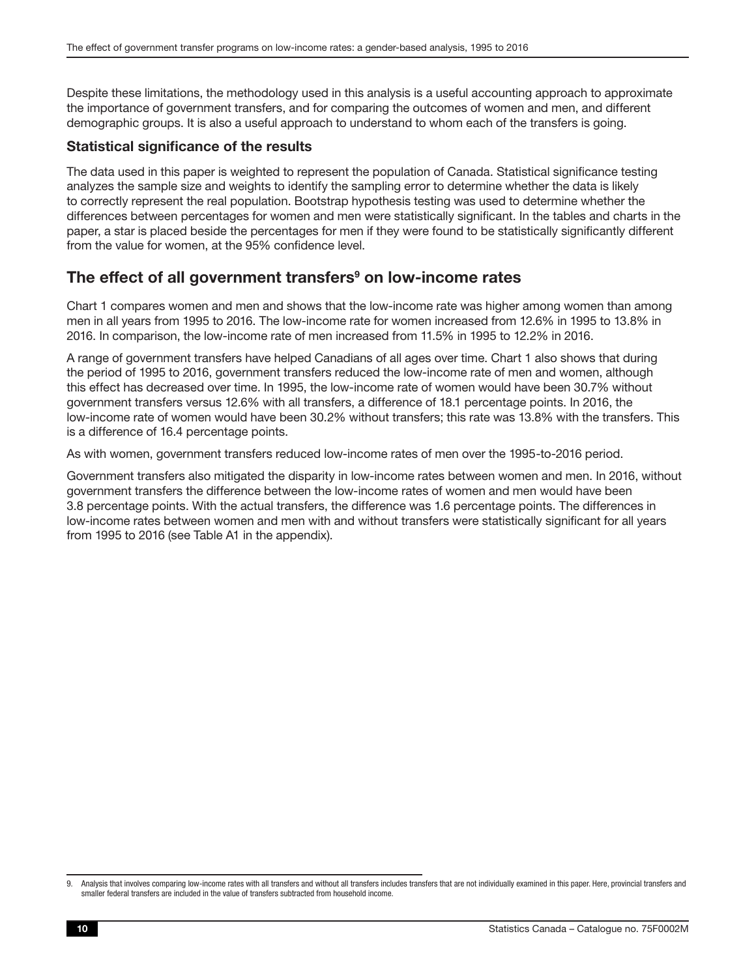<span id="page-9-0"></span>Despite these limitations, the methodology used in this analysis is a useful accounting approach to approximate the importance of government transfers, and for comparing the outcomes of women and men, and different demographic groups. It is also a useful approach to understand to whom each of the transfers is going.

#### Statistical significance of the results

The data used in this paper is weighted to represent the population of Canada. Statistical significance testing analyzes the sample size and weights to identify the sampling error to determine whether the data is likely to correctly represent the real population. Bootstrap hypothesis testing was used to determine whether the differences between percentages for women and men were statistically significant. In the tables and charts in the paper, a star is placed beside the percentages for men if they were found to be statistically significantly different from the value for women, at the 95% confidence level.

### The effect of all government transfers<sup>9</sup> on low-income rates

Chart 1 compares women and men and shows that the low-income rate was higher among women than among men in all years from 1995 to 2016. The low-income rate for women increased from 12.6% in 1995 to 13.8% in 2016. In comparison, the low-income rate of men increased from 11.5% in 1995 to 12.2% in 2016.

A range of government transfers have helped Canadians of all ages over time. Chart 1 also shows that during the period of 1995 to 2016, government transfers reduced the low-income rate of men and women, although this effect has decreased over time. In 1995, the low-income rate of women would have been 30.7% without government transfers versus 12.6% with all transfers, a difference of 18.1 percentage points. In 2016, the low-income rate of women would have been 30.2% without transfers; this rate was 13.8% with the transfers. This is a difference of 16.4 percentage points.

As with women, government transfers reduced low-income rates of men over the 1995-to-2016 period.

Government transfers also mitigated the disparity in low-income rates between women and men. In 2016, without government transfers the difference between the low-income rates of women and men would have been 3.8 percentage points. With the actual transfers, the difference was 1.6 percentage points. The differences in low-income rates between women and men with and without transfers were statistically significant for all years from 1995 to 2016 (see Table A1 in the appendix).

<sup>9.</sup> Analysis that involves comparing low-income rates with all transfers and without all transfers includes transfers that are not individually examined in this paper. Here, provincial transfers and smaller federal transfers are included in the value of transfers subtracted from household income.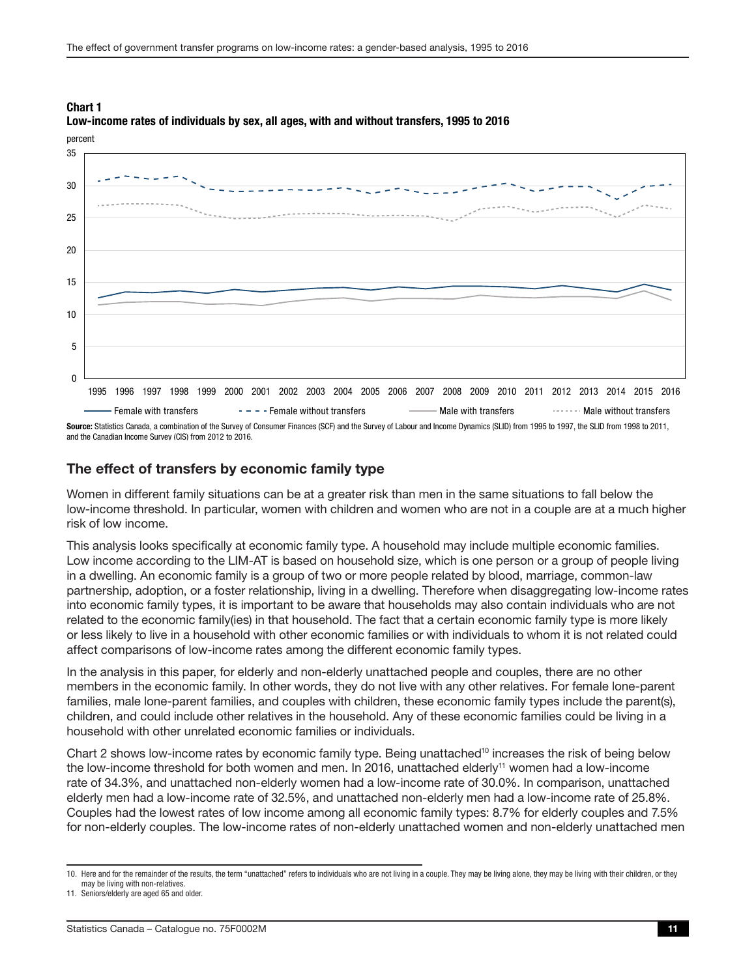

#### <span id="page-10-0"></span>Chart 1 Low-income rates of individuals by sex, all ages, with and without transfers, 1995 to 2016

Source: Statistics Canada, a combination of the Survey of Consumer Finances (SCF) and the Survey of Labour and Income Dynamics (SLID) from 1995 to 1997, the SLID from 1998 to 2011, and the Canadian Income Survey (CIS) from 2012 to 2016.

#### The effect of transfers by economic family type

Women in different family situations can be at a greater risk than men in the same situations to fall below the low-income threshold. In particular, women with children and women who are not in a couple are at a much higher risk of low income.

This analysis looks specifically at economic family type. A household may include multiple economic families. Low income according to the LIM-AT is based on household size, which is one person or a group of people living in a dwelling. An economic family is a group of two or more people related by blood, marriage, common-law partnership, adoption, or a foster relationship, living in a dwelling. Therefore when disaggregating low-income rates into economic family types, it is important to be aware that households may also contain individuals who are not related to the economic family(ies) in that household. The fact that a certain economic family type is more likely or less likely to live in a household with other economic families or with individuals to whom it is not related could affect comparisons of low-income rates among the different economic family types.

In the analysis in this paper, for elderly and non-elderly unattached people and couples, there are no other members in the economic family. In other words, they do not live with any other relatives. For female lone-parent families, male lone-parent families, and couples with children, these economic family types include the parent(s), children, and could include other relatives in the household. Any of these economic families could be living in a household with other unrelated economic families or individuals.

Chart 2 shows low-income rates by economic family type. Being unattached<sup>10</sup> increases the risk of being below the low-income threshold for both women and men. In 2016, unattached elderly<sup>11</sup> women had a low-income rate of 34.3%, and unattached non-elderly women had a low-income rate of 30.0%. In comparison, unattached elderly men had a low-income rate of 32.5%, and unattached non-elderly men had a low-income rate of 25.8%. Couples had the lowest rates of low income among all economic family types: 8.7% for elderly couples and 7.5% for non-elderly couples. The low-income rates of non-elderly unattached women and non-elderly unattached men

<sup>10.</sup> Here and for the remainder of the results, the term "unattached" refers to individuals who are not living in a couple. They may be living alone, they may be living with their children, or they may be living with non-relatives.

<sup>11.</sup> Seniors/elderly are aged 65 and older.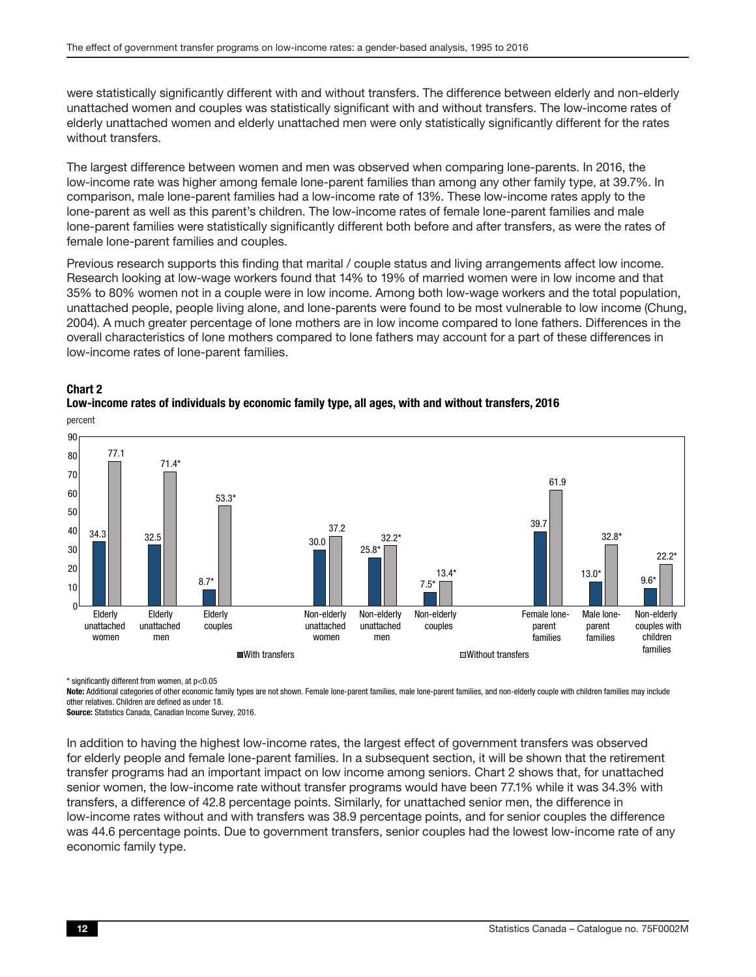were statistically significantly different with and without transfers. The difference between elderly and non-elderly unattached women and couples was statistically significant with and without transfers. The low-income rates of elderly unattached women and elderly unattached men were only statistically significantly different for the rates without transfers.

The largest difference between women and men was observed when comparing lone-parents. In 2016, the low-income rate was higher among female lone-parent families than among any other family type, at 39.7%. In comparison, male lone-parent families had a low-income rate of 13%. These low-income rates apply to the lone-parent as well as this parent's children. The low-income rates of female lone-parent families and male lone-parent families were statistically significantly different both before and after transfers, as were the rates of female lone-parent families and couples.

Previous research supports this finding that marital / couple status and living arrangements affect low income. Research looking at low-wage workers found that 14% to 19% of married women were in low income and that 35% to 80% women not in a couple were in low income. Among both low-wage workers and the total population, unattached people, people living alone, and lone-parents were found to be most vulnerable to low income (Chung, 2004). A much greater percentage of lone mothers are in low income compared to lone fathers. Differences in the overall characteristics of lone mothers compared to lone fathers may account for a part of these differences in low-income rates of lone-parent families.





\* significantly different from women, at p<0.05

Note: Additional categories of other economic family types are not shown. Female lone-parent families, male lone-parent families, and non-elderly couple with children families may include other relatives. Children are defined as under 18.

Source: Statistics Canada, Canadian Income Survey, 2016.

In addition to having the highest low-income rates, the largest effect of government transfers was observed for elderly people and female lone-parent families. In a subsequent section, it will be shown that the retirement transfer programs had an important impact on low income among seniors. Chart 2 shows that, for unattached senior women, the low-income rate without transfer programs would have been 77.1% while it was 34.3% with transfers, a difference of 42.8 percentage points. Similarly, for unattached senior men, the difference in low-income rates without and with transfers was 38.9 percentage points, and for senior couples the difference was 44.6 percentage points. Due to government transfers, senior couples had the lowest low-income rate of any economic family type.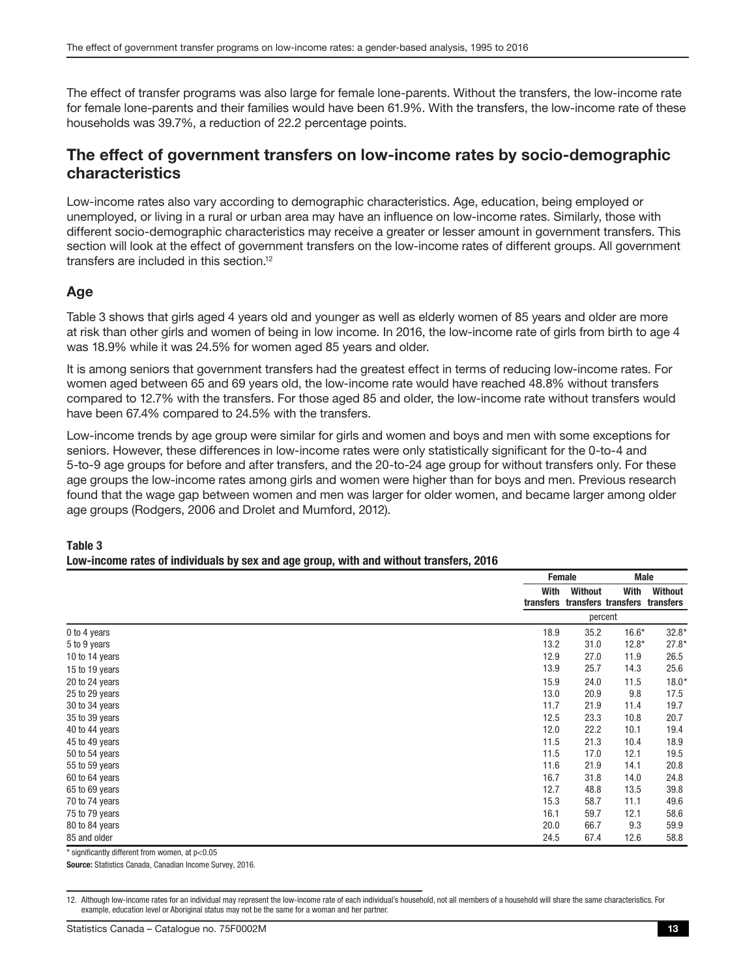<span id="page-12-0"></span>The effect of transfer programs was also large for female lone-parents. Without the transfers, the low-income rate for female lone-parents and their families would have been 61.9%. With the transfers, the low-income rate of these households was 39.7%, a reduction of 22.2 percentage points.

### The effect of government transfers on low-income rates by socio-demographic characteristics

Low-income rates also vary according to demographic characteristics. Age, education, being employed or unemployed, or living in a rural or urban area may have an influence on low-income rates. Similarly, those with different socio-demographic characteristics may receive a greater or lesser amount in government transfers. This section will look at the effect of government transfers on the low-income rates of different groups. All government transfers are included in this section.12

#### Age

Table 3 shows that girls aged 4 years old and younger as well as elderly women of 85 years and older are more at risk than other girls and women of being in low income. In 2016, the low-income rate of girls from birth to age 4 was 18.9% while it was 24.5% for women aged 85 years and older.

It is among seniors that government transfers had the greatest effect in terms of reducing low-income rates. For women aged between 65 and 69 years old, the low-income rate would have reached 48.8% without transfers compared to 12.7% with the transfers. For those aged 85 and older, the low-income rate without transfers would have been 67.4% compared to 24.5% with the transfers.

Low-income trends by age group were similar for girls and women and boys and men with some exceptions for seniors. However, these differences in low-income rates were only statistically significant for the 0-to-4 and 5-to-9 age groups for before and after transfers, and the 20-to-24 age group for without transfers only. For these age groups the low-income rates among girls and women were higher than for boys and men. Previous research found that the wage gap between women and men was larger for older women, and became larger among older age groups (Rodgers, 2006 and Drolet and Mumford, 2012).

|                | Female |                | <b>Male</b>                                     |         |
|----------------|--------|----------------|-------------------------------------------------|---------|
|                | With   | <b>Without</b> | With<br>transfers transfers transfers transfers | Without |
|                |        | percent        |                                                 |         |
| 0 to 4 years   | 18.9   | 35.2           | $16.6*$                                         | $32.8*$ |
| 5 to 9 years   | 13.2   | 31.0           | $12.8*$                                         | $27.8*$ |
| 10 to 14 years | 12.9   | 27.0           | 11.9                                            | 26.5    |
| 15 to 19 years | 13.9   | 25.7           | 14.3                                            | 25.6    |
| 20 to 24 years | 15.9   | 24.0           | 11.5                                            | $18.0*$ |
| 25 to 29 years | 13.0   | 20.9           | 9.8                                             | 17.5    |
| 30 to 34 years | 11.7   | 21.9           | 11.4                                            | 19.7    |
| 35 to 39 years | 12.5   | 23.3           | 10.8                                            | 20.7    |
| 40 to 44 years | 12.0   | 22.2           | 10.1                                            | 19.4    |
| 45 to 49 years | 11.5   | 21.3           | 10.4                                            | 18.9    |
| 50 to 54 years | 11.5   | 17.0           | 12.1                                            | 19.5    |
| 55 to 59 years | 11.6   | 21.9           | 14.1                                            | 20.8    |
| 60 to 64 years | 16.7   | 31.8           | 14.0                                            | 24.8    |
| 65 to 69 years | 12.7   | 48.8           | 13.5                                            | 39.8    |
| 70 to 74 years | 15.3   | 58.7           | 11.1                                            | 49.6    |
| 75 to 79 years | 16.1   | 59.7           | 12.1                                            | 58.6    |
| 80 to 84 years | 20.0   | 66.7           | 9.3                                             | 59.9    |
| 85 and older   | 24.5   | 67.4           | 12.6                                            | 58.8    |

#### Table 3 Low-income rates of individuals by sex and age group, with and without transfers, 2016

 $*$  significantly different from women, at  $p<0.05$ 

Source: Statistics Canada, Canadian Income Survey, 2016.

<sup>12.</sup> Although low-income rates for an individual may represent the low-income rate of each individual's household, not all members of a household will share the same characteristics. For example, education level or Aboriginal status may not be the same for a woman and her partner.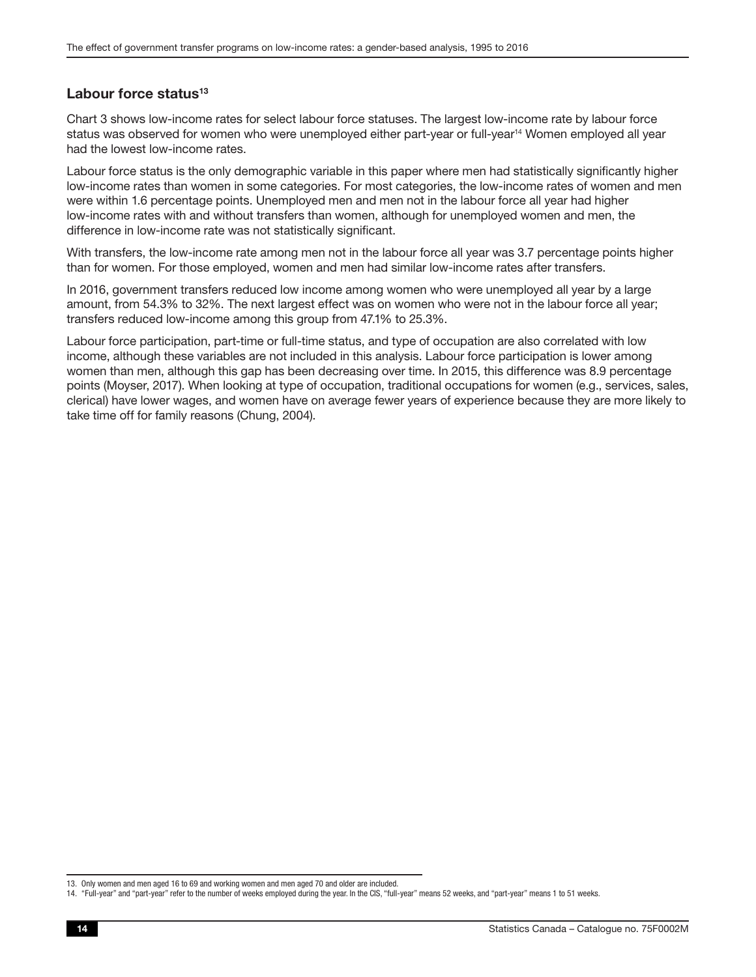#### <span id="page-13-0"></span>Labour force status<sup>13</sup>

Chart 3 shows low-income rates for select labour force statuses. The largest low-income rate by labour force status was observed for women who were unemployed either part-year or full-year<sup>14</sup> Women employed all year had the lowest low-income rates.

Labour force status is the only demographic variable in this paper where men had statistically significantly higher low-income rates than women in some categories. For most categories, the low-income rates of women and men were within 1.6 percentage points. Unemployed men and men not in the labour force all year had higher low-income rates with and without transfers than women, although for unemployed women and men, the difference in low-income rate was not statistically significant.

With transfers, the low-income rate among men not in the labour force all year was 3.7 percentage points higher than for women. For those employed, women and men had similar low-income rates after transfers.

In 2016, government transfers reduced low income among women who were unemployed all year by a large amount, from 54.3% to 32%. The next largest effect was on women who were not in the labour force all year; transfers reduced low-income among this group from 47.1% to 25.3%.

Labour force participation, part-time or full-time status, and type of occupation are also correlated with low income, although these variables are not included in this analysis. Labour force participation is lower among women than men, although this gap has been decreasing over time. In 2015, this difference was 8.9 percentage points (Moyser, 2017). When looking at type of occupation, traditional occupations for women (e.g., services, sales, clerical) have lower wages, and women have on average fewer years of experience because they are more likely to take time off for family reasons (Chung, 2004).

<sup>13.</sup> Only women and men aged 16 to 69 and working women and men aged 70 and older are included.

<sup>14.</sup> "Full-year" and "part-year" refer to the number of weeks employed during the year. In the CIS, "full-year" means 52 weeks, and "part-year" means 1 to 51 weeks.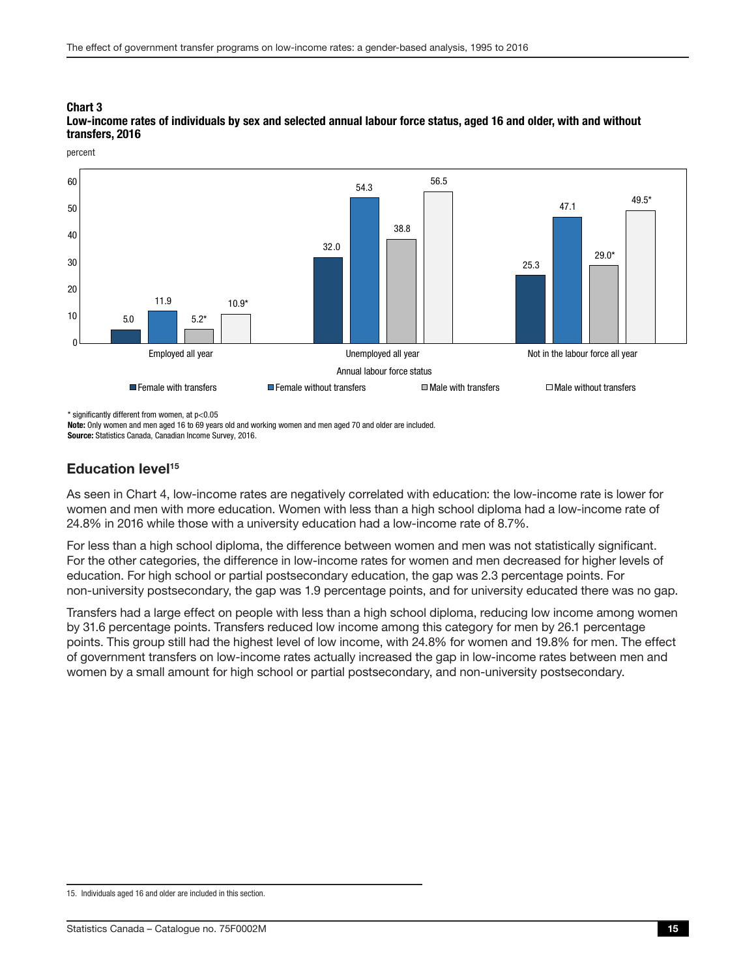

#### <span id="page-14-0"></span>Low-income rates of individuals by sex and selected annual labour force status, aged 16 and older, with and without transfers, 2016

percent

\* significantly different from women, at p<0.05

Note: Only women and men aged 16 to 69 years old and working women and men aged 70 and older are included.

Source: Statistics Canada, Canadian Income Survey, 2016.

### Education level<sup>15</sup>

As seen in Chart 4, low-income rates are negatively correlated with education: the low-income rate is lower for women and men with more education. Women with less than a high school diploma had a low-income rate of 24.8% in 2016 while those with a university education had a low-income rate of 8.7%.

For less than a high school diploma, the difference between women and men was not statistically significant. For the other categories, the difference in low-income rates for women and men decreased for higher levels of education. For high school or partial postsecondary education, the gap was 2.3 percentage points. For non-university postsecondary, the gap was 1.9 percentage points, and for university educated there was no gap.

Transfers had a large effect on people with less than a high school diploma, reducing low income among women by 31.6 percentage points. Transfers reduced low income among this category for men by 26.1 percentage points. This group still had the highest level of low income, with 24.8% for women and 19.8% for men. The effect of government transfers on low-income rates actually increased the gap in low-income rates between men and women by a small amount for high school or partial postsecondary, and non-university postsecondary.

<sup>15.</sup> Individuals aged 16 and older are included in this section.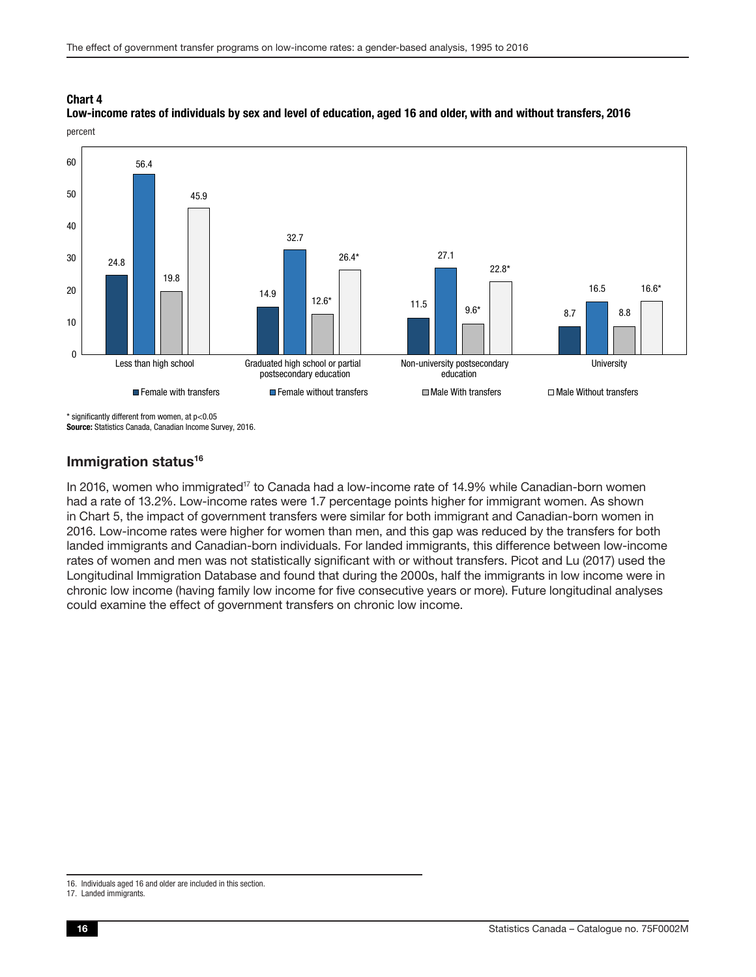#### <span id="page-15-0"></span>percent Low-income rates of individuals by sex and level of education, aged 16 and older, with and without transfers, 2016



\* significantly different from women, at p<0.05 Source: Statistics Canada, Canadian Income Survey, 2016.

#### Immigration status<sup>16</sup>

In 2016, women who immigrated<sup>17</sup> to Canada had a low-income rate of 14.9% while Canadian-born women had a rate of 13.2%. Low-income rates were 1.7 percentage points higher for immigrant women. As shown in Chart 5, the impact of government transfers were similar for both immigrant and Canadian-born women in 2016. Low-income rates were higher for women than men, and this gap was reduced by the transfers for both landed immigrants and Canadian-born individuals. For landed immigrants, this difference between low-income rates of women and men was not statistically significant with or without transfers. Picot and Lu (2017) used the Longitudinal Immigration Database and found that during the 2000s, half the immigrants in low income were in chronic low income (having family low income for five consecutive years or more). Future longitudinal analyses could examine the effect of government transfers on chronic low income.

<sup>16.</sup> Individuals aged 16 and older are included in this section.

<sup>17.</sup> Landed immigrants.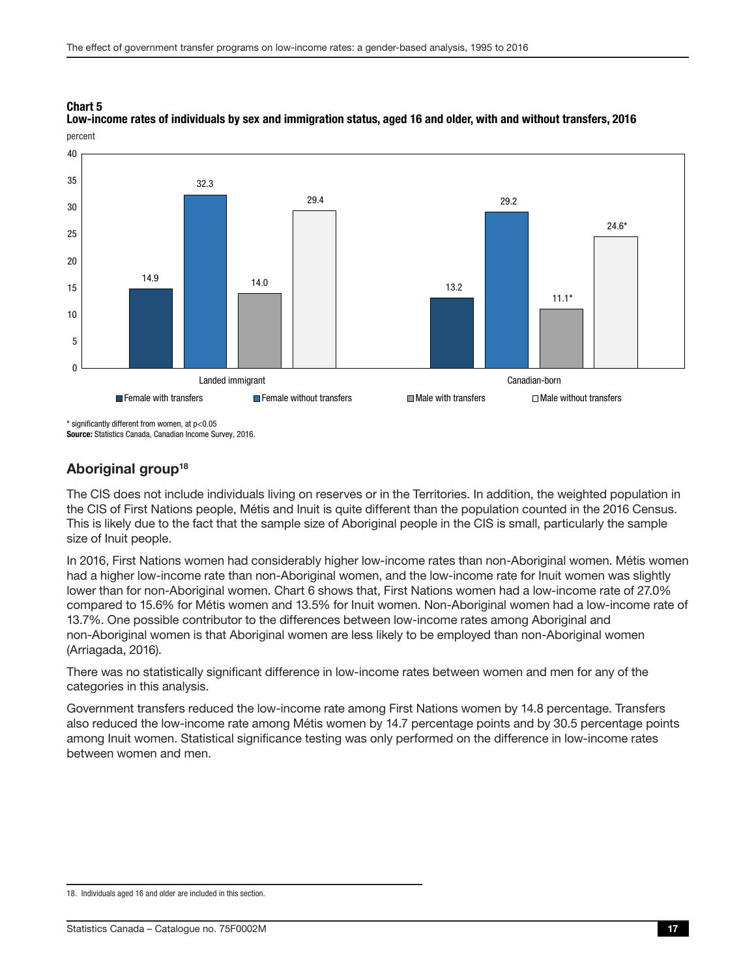

<span id="page-16-0"></span>percent Low-income rates of individuals by sex and immigration status, aged 16 and older, with and without transfers, 2016

\* significantly different from women, at p<0.05

Source: Statistics Canada, Canadian Income Survey, 2016.

### Aboriginal group<sup>18</sup>

The CIS does not include individuals living on reserves or in the Territories. In addition, the weighted population in the CIS of First Nations people, Métis and Inuit is quite different than the population counted in the 2016 Census. This is likely due to the fact that the sample size of Aboriginal people in the CIS is small, particularly the sample size of Inuit people.

In 2016, First Nations women had considerably higher low-income rates than non-Aboriginal women. Métis women had a higher low-income rate than non-Aboriginal women, and the low-income rate for Inuit women was slightly lower than for non-Aboriginal women. Chart 6 shows that, First Nations women had a low-income rate of 27.0% compared to 15.6% for Métis women and 13.5% for Inuit women. Non-Aboriginal women had a low-income rate of 13.7%. One possible contributor to the differences between low-income rates among Aboriginal and non-Aboriginal women is that Aboriginal women are less likely to be employed than non-Aboriginal women (Arriagada, 2016).

There was no statistically significant difference in low-income rates between women and men for any of the categories in this analysis.

Government transfers reduced the low-income rate among First Nations women by 14.8 percentage. Transfers also reduced the low-income rate among Métis women by 14.7 percentage points and by 30.5 percentage points among Inuit women. Statistical significance testing was only performed on the difference in low-income rates between women and men.

<sup>18.</sup> Individuals aged 16 and older are included in this section.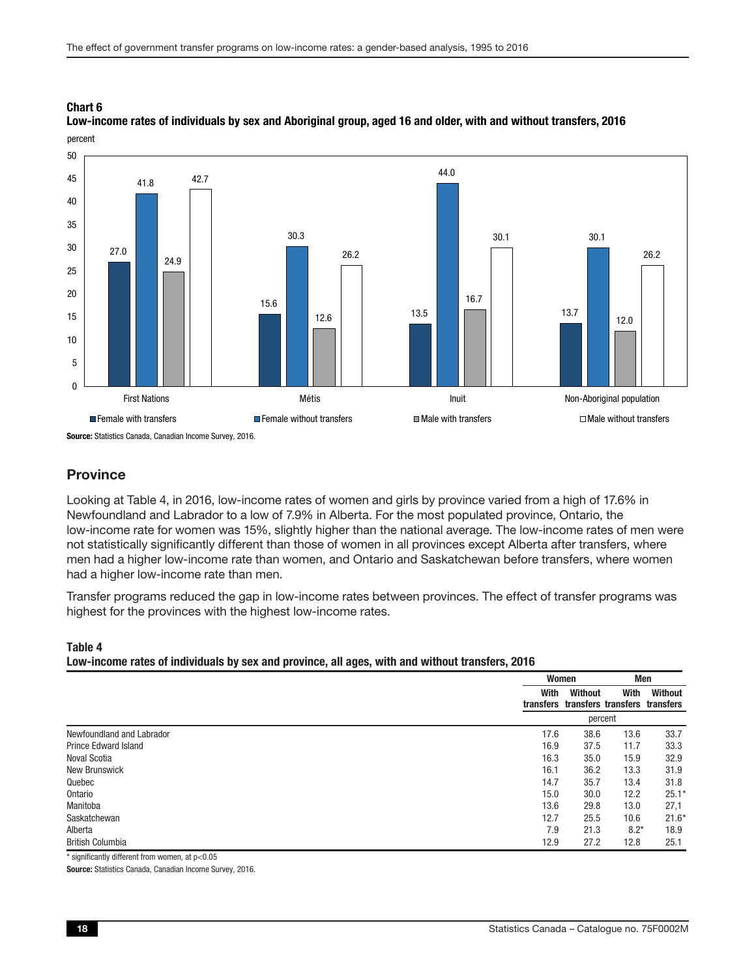#### <span id="page-17-0"></span>Low-income rates of individuals by sex and Aboriginal group, aged 16 and older, with and without transfers, 2016 percent



Source: Statistics Canada, Canadian Income Survey, 2016.

#### **Province**

Looking at Table 4, in 2016, low-income rates of women and girls by province varied from a high of 17.6% in Newfoundland and Labrador to a low of 7.9% in Alberta. For the most populated province, Ontario, the low-income rate for women was 15%, slightly higher than the national average. The low-income rates of men were not statistically significantly different than those of women in all provinces except Alberta after transfers, where men had a higher low-income rate than women, and Ontario and Saskatchewan before transfers, where women had a higher low-income rate than men.

Transfer programs reduced the gap in low-income rates between provinces. The effect of transfer programs was highest for the provinces with the highest low-income rates.

#### Table 4 Low-income rates of individuals by sex and province, all ages, with and without transfers, 2016

|                             |      | Women          | Men                                             |         |
|-----------------------------|------|----------------|-------------------------------------------------|---------|
|                             | With | <b>Without</b> | With<br>transfers transfers transfers transfers | Without |
|                             |      |                | percent                                         |         |
| Newfoundland and Labrador   | 17.6 | 38.6           | 13.6                                            | 33.7    |
| <b>Prince Edward Island</b> | 16.9 | 37.5           | 11.7                                            | 33.3    |
| <b>Noval Scotia</b>         | 16.3 | 35.0           | 15.9                                            | 32.9    |
| <b>New Brunswick</b>        | 16.1 | 36.2           | 13.3                                            | 31.9    |
| Quebec                      | 14.7 | 35.7           | 13.4                                            | 31.8    |
| Ontario                     | 15.0 | 30.0           | 12.2                                            | $25.1*$ |
| Manitoba                    | 13.6 | 29.8           | 13.0                                            | 27,1    |
| Saskatchewan                | 12.7 | 25.5           | 10.6                                            | $21.6*$ |
| Alberta                     | 7.9  | 21.3           | $8.2*$                                          | 18.9    |
| <b>British Columbia</b>     | 12.9 | 27.2           | 12.8                                            | 25.1    |

\* significantly different from women, at p<0.05

Source: Statistics Canada, Canadian Income Survey, 2016.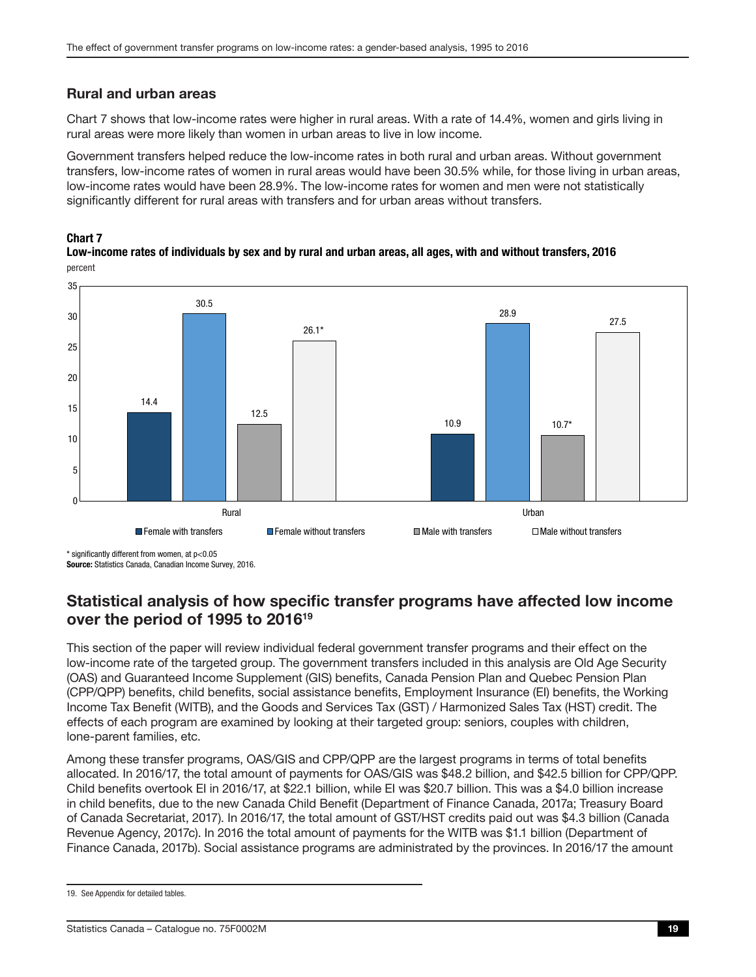### <span id="page-18-0"></span>Rural and urban areas

Chart 7 shows that low-income rates were higher in rural areas. With a rate of 14.4%, women and girls living in rural areas were more likely than women in urban areas to live in low income.

Government transfers helped reduce the low-income rates in both rural and urban areas. Without government transfers, low-income rates of women in rural areas would have been 30.5% while, for those living in urban areas, low-income rates would have been 28.9%. The low-income rates for women and men were not statistically significantly different for rural areas with transfers and for urban areas without transfers.

#### Chart 7

percent Low-income rates of individuals by sex and by rural and urban areas, all ages, with and without transfers, 2016



\* significantly different from women, at p<0.05

Source: Statistics Canada, Canadian Income Survey, 2016.

### Statistical analysis of how specific transfer programs have affected low income over the period of 1995 to 201619

This section of the paper will review individual federal government transfer programs and their effect on the low-income rate of the targeted group. The government transfers included in this analysis are Old Age Security (OAS) and Guaranteed Income Supplement (GIS) benefits, Canada Pension Plan and Quebec Pension Plan (CPP/QPP) benefits, child benefits, social assistance benefits, Employment Insurance (EI) benefits, the Working Income Tax Benefit (WITB), and the Goods and Services Tax (GST) / Harmonized Sales Tax (HST) credit. The effects of each program are examined by looking at their targeted group: seniors, couples with children, lone-parent families, etc.

Among these transfer programs, OAS/GIS and CPP/QPP are the largest programs in terms of total benefits allocated. In 2016/17, the total amount of payments for OAS/GIS was \$48.2 billion, and \$42.5 billion for CPP/QPP. Child benefits overtook EI in 2016/17, at \$22.1 billion, while EI was \$20.7 billion. This was a \$4.0 billion increase in child benefits, due to the new Canada Child Benefit (Department of Finance Canada, 2017a; Treasury Board of Canada Secretariat, 2017). In 2016/17, the total amount of GST/HST credits paid out was \$4.3 billion (Canada Revenue Agency, 2017c). In 2016 the total amount of payments for the WITB was \$1.1 billion (Department of Finance Canada, 2017b). Social assistance programs are administrated by the provinces. In 2016/17 the amount

<sup>19.</sup> See Appendix for detailed tables.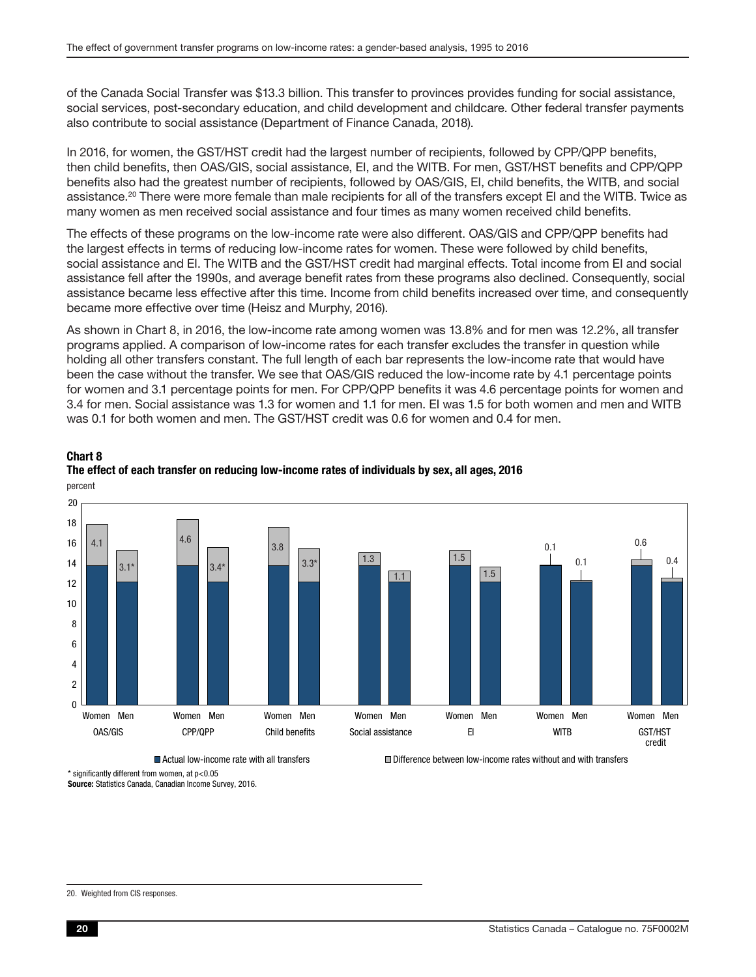of the Canada Social Transfer was \$13.3 billion. This transfer to provinces provides funding for social assistance, social services, post-secondary education, and child development and childcare. Other federal transfer payments also contribute to social assistance (Department of Finance Canada, 2018).

In 2016, for women, the GST/HST credit had the largest number of recipients, followed by CPP/QPP benefits, then child benefits, then OAS/GIS, social assistance, EI, and the WITB. For men, GST/HST benefits and CPP/QPP benefits also had the greatest number of recipients, followed by OAS/GIS, EI, child benefits, the WITB, and social assistance.<sup>20</sup> There were more female than male recipients for all of the transfers except EI and the WITB. Twice as many women as men received social assistance and four times as many women received child benefits.

The effects of these programs on the low-income rate were also different. OAS/GIS and CPP/QPP benefits had the largest effects in terms of reducing low-income rates for women. These were followed by child benefits, social assistance and EI. The WITB and the GST/HST credit had marginal effects. Total income from EI and social assistance fell after the 1990s, and average benefit rates from these programs also declined. Consequently, social assistance became less effective after this time. Income from child benefits increased over time, and consequently became more effective over time (Heisz and Murphy, 2016).

As shown in Chart 8, in 2016, the low-income rate among women was 13.8% and for men was 12.2%, all transfer programs applied. A comparison of low-income rates for each transfer excludes the transfer in question while holding all other transfers constant. The full length of each bar represents the low-income rate that would have been the case without the transfer. We see that OAS/GIS reduced the low-income rate by 4.1 percentage points for women and 3.1 percentage points for men. For CPP/QPP benefits it was 4.6 percentage points for women and 3.4 for men. Social assistance was 1.3 for women and 1.1 for men. EI was 1.5 for both women and men and WITB was 0.1 for both women and men. The GST/HST credit was 0.6 for women and 0.4 for men.

### Chart 8 The effect of each transfer on reducing low-income rates of individuals by sex, all ages, 2016



percent

Actual low-income rate with all transfers Difference between low-income rates without and with transfers

\* significantly different from women, at p<0.05

Source: Statistics Canada, Canadian Income Survey, 2016.

<sup>20.</sup> Weighted from CIS responses.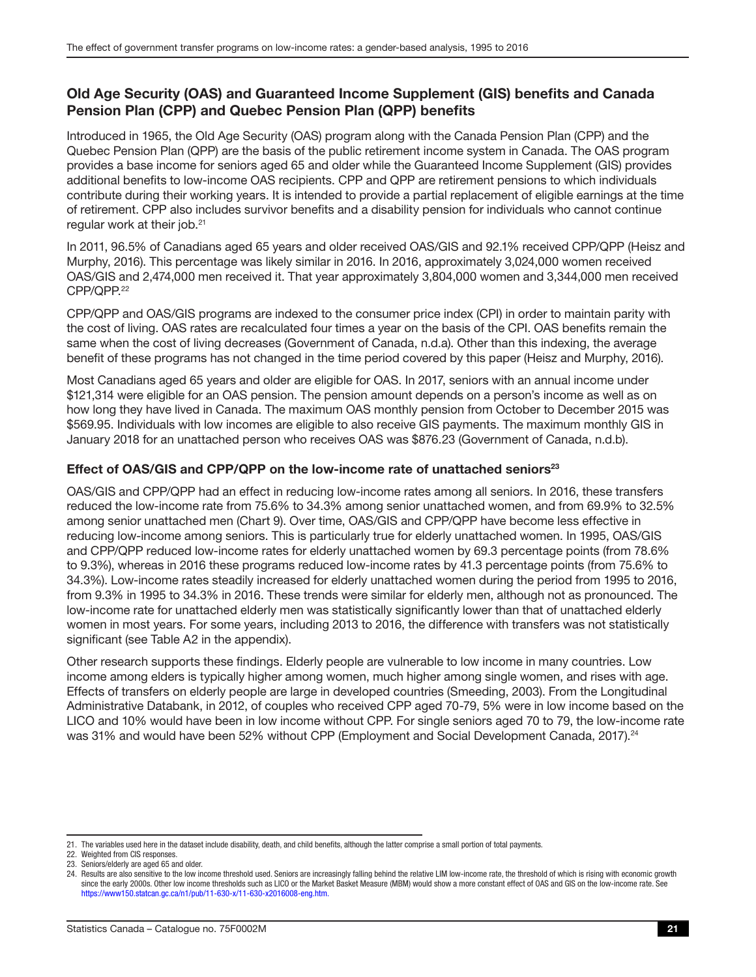### <span id="page-20-0"></span>Old Age Security (OAS) and Guaranteed Income Supplement (GIS) benefits and Canada Pension Plan (CPP) and Quebec Pension Plan (QPP) benefits

Introduced in 1965, the Old Age Security (OAS) program along with the Canada Pension Plan (CPP) and the Quebec Pension Plan (QPP) are the basis of the public retirement income system in Canada. The OAS program provides a base income for seniors aged 65 and older while the Guaranteed Income Supplement (GIS) provides additional benefits to low-income OAS recipients. CPP and QPP are retirement pensions to which individuals contribute during their working years. It is intended to provide a partial replacement of eligible earnings at the time of retirement. CPP also includes survivor benefits and a disability pension for individuals who cannot continue regular work at their job.<sup>21</sup>

In 2011, 96.5% of Canadians aged 65 years and older received OAS/GIS and 92.1% received CPP/QPP (Heisz and Murphy, 2016). This percentage was likely similar in 2016. In 2016, approximately 3,024,000 women received OAS/GIS and 2,474,000 men received it. That year approximately 3,804,000 women and 3,344,000 men received CPP/QPP.22

CPP/QPP and OAS/GIS programs are indexed to the consumer price index (CPI) in order to maintain parity with the cost of living. OAS rates are recalculated four times a year on the basis of the CPI. OAS benefits remain the same when the cost of living decreases (Government of Canada, n.d.a). Other than this indexing, the average benefit of these programs has not changed in the time period covered by this paper (Heisz and Murphy, 2016).

Most Canadians aged 65 years and older are eligible for OAS. In 2017, seniors with an annual income under \$121,314 were eligible for an OAS pension. The pension amount depends on a person's income as well as on how long they have lived in Canada. The maximum OAS monthly pension from October to December 2015 was \$569.95. Individuals with low incomes are eligible to also receive GIS payments. The maximum monthly GIS in January 2018 for an unattached person who receives OAS was \$876.23 (Government of Canada, n.d.b).

#### Effect of OAS/GIS and CPP/QPP on the low-income rate of unattached seniors<sup>23</sup>

OAS/GIS and CPP/QPP had an effect in reducing low-income rates among all seniors. In 2016, these transfers reduced the low-income rate from 75.6% to 34.3% among senior unattached women, and from 69.9% to 32.5% among senior unattached men (Chart 9). Over time, OAS/GIS and CPP/QPP have become less effective in reducing low-income among seniors. This is particularly true for elderly unattached women. In 1995, OAS/GIS and CPP/QPP reduced low-income rates for elderly unattached women by 69.3 percentage points (from 78.6% to 9.3%), whereas in 2016 these programs reduced low-income rates by 41.3 percentage points (from 75.6% to 34.3%). Low-income rates steadily increased for elderly unattached women during the period from 1995 to 2016, from 9.3% in 1995 to 34.3% in 2016. These trends were similar for elderly men, although not as pronounced. The low-income rate for unattached elderly men was statistically significantly lower than that of unattached elderly women in most years. For some years, including 2013 to 2016, the difference with transfers was not statistically significant (see Table A2 in the appendix).

Other research supports these findings. Elderly people are vulnerable to low income in many countries. Low income among elders is typically higher among women, much higher among single women, and rises with age. Effects of transfers on elderly people are large in developed countries (Smeeding, 2003). From the Longitudinal Administrative Databank, in 2012, of couples who received CPP aged 70-79, 5% were in low income based on the LICO and 10% would have been in low income without CPP. For single seniors aged 70 to 79, the low-income rate was 31% and would have been 52% without CPP (Employment and Social Development Canada, 2017).<sup>24</sup>

<sup>21.</sup> The variables used here in the dataset include disability, death, and child benefits, although the latter comprise a small portion of total payments.

<sup>22.</sup> Weighted from CIS responses.

<sup>23.</sup> Seniors/elderly are aged 65 and older.

<sup>24.</sup> Results are also sensitive to the low income threshold used. Seniors are increasingly falling behind the relative LIM low-income rate, the threshold of which is rising with economic growth since the early 2000s. Other low income thresholds such as LICO or the Market Basket Measure (MBM) would show a more constant effect of OAS and GIS on the low-income rate. See https://[www150.statcan.gc.ca/n1/pub/11-630-x/11-630-x2016008-eng.htm](http://www150.statcan.gc.ca/n1/pub/11-630-x/11-630-x2016008-eng.htm).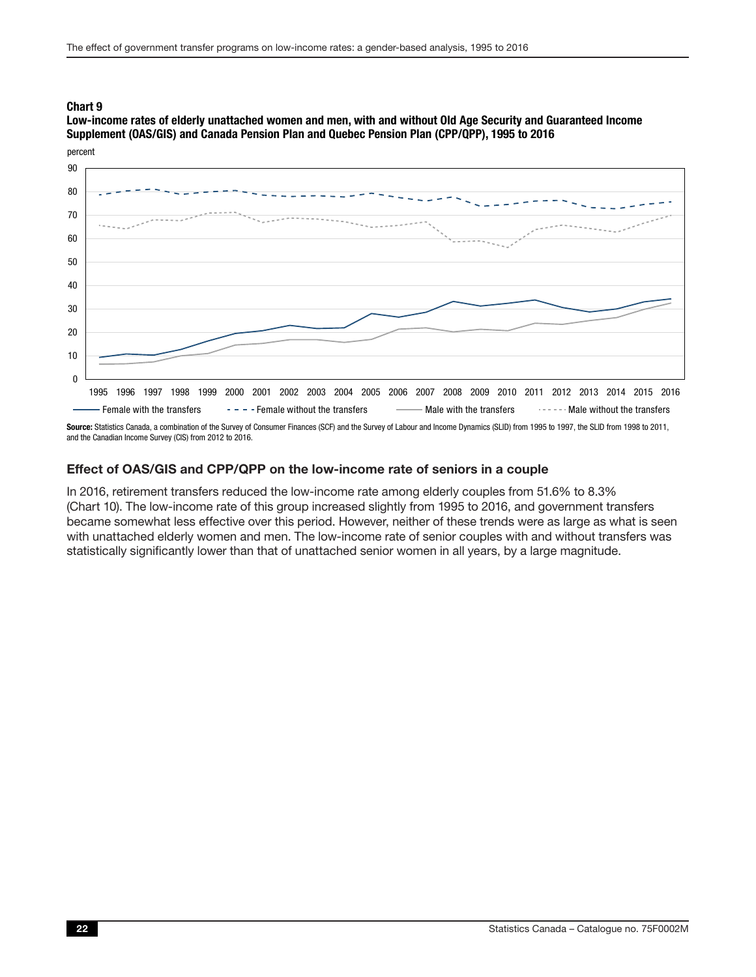<span id="page-21-0"></span>Low-income rates of elderly unattached women and men, with and without Old Age Security and Guaranteed Income Supplement (OAS/GIS) and Canada Pension Plan and Quebec Pension Plan (CPP/QPP), 1995 to 2016



Source: Statistics Canada, a combination of the Survey of Consumer Finances (SCF) and the Survey of Labour and Income Dynamics (SLID) from 1995 to 1997, the SLID from 1998 to 2011, and the Canadian Income Survey (CIS) from 2012 to 2016.

#### Effect of OAS/GIS and CPP/QPP on the low-income rate of seniors in a couple

In 2016, retirement transfers reduced the low-income rate among elderly couples from 51.6% to 8.3% (Chart 10). The low-income rate of this group increased slightly from 1995 to 2016, and government transfers became somewhat less effective over this period. However, neither of these trends were as large as what is seen with unattached elderly women and men. The low-income rate of senior couples with and without transfers was statistically significantly lower than that of unattached senior women in all years, by a large magnitude.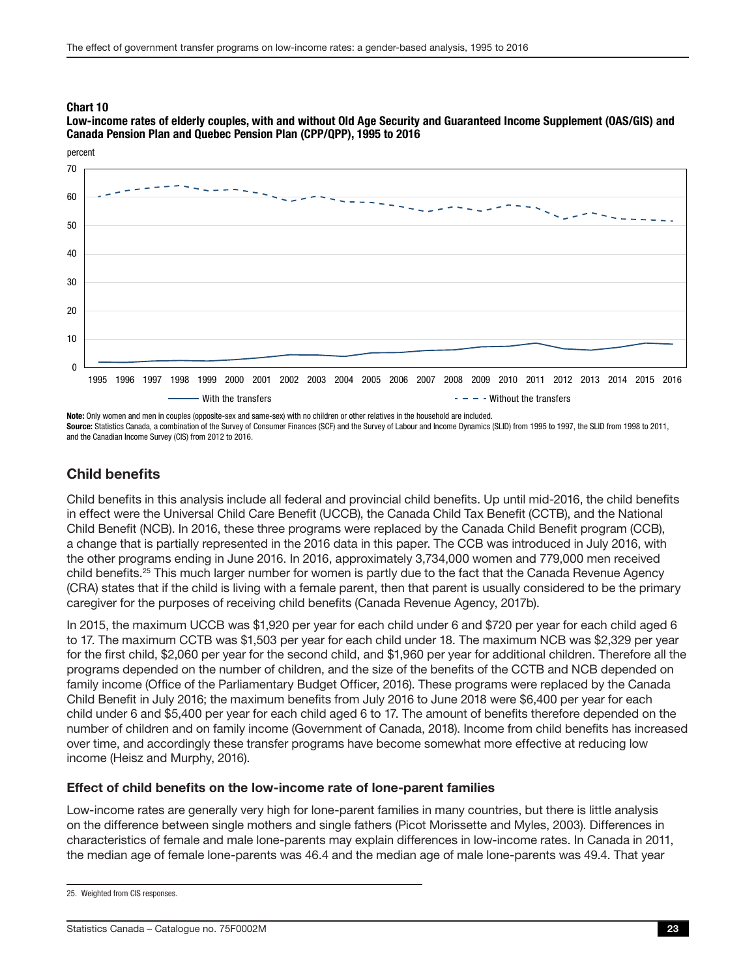<span id="page-22-0"></span>Low-income rates of elderly couples, with and without Old Age Security and Guaranteed Income Supplement (OAS/GIS) and Canada Pension Plan and Quebec Pension Plan (CPP/QPP), 1995 to 2016



Note: Only women and men in couples (opposite-sex and same-sex) with no children or other relatives in the household are included. Source: Statistics Canada, a combination of the Survey of Consumer Finances (SCF) and the Survey of Labour and Income Dynamics (SLID) from 1995 to 1997, the SLID from 1998 to 2011, and the Canadian Income Survey (CIS) from 2012 to 2016.

### Child benefits

Child benefits in this analysis include all federal and provincial child benefits. Up until mid-2016, the child benefits in effect were the Universal Child Care Benefit (UCCB), the Canada Child Tax Benefit (CCTB), and the National Child Benefit (NCB). In 2016, these three programs were replaced by the Canada Child Benefit program (CCB), a change that is partially represented in the 2016 data in this paper. The CCB was introduced in July 2016, with the other programs ending in June 2016. In 2016, approximately 3,734,000 women and 779,000 men received child benefits.25 This much larger number for women is partly due to the fact that the Canada Revenue Agency (CRA) states that if the child is living with a female parent, then that parent is usually considered to be the primary caregiver for the purposes of receiving child benefits (Canada Revenue Agency, 2017b).

In 2015, the maximum UCCB was \$1,920 per year for each child under 6 and \$720 per year for each child aged 6 to 17. The maximum CCTB was \$1,503 per year for each child under 18. The maximum NCB was \$2,329 per year for the first child, \$2,060 per year for the second child, and \$1,960 per year for additional children. Therefore all the programs depended on the number of children, and the size of the benefits of the CCTB and NCB depended on family income (Office of the Parliamentary Budget Officer, 2016). These programs were replaced by the Canada Child Benefit in July 2016; the maximum benefits from July 2016 to June 2018 were \$6,400 per year for each child under 6 and \$5,400 per year for each child aged 6 to 17. The amount of benefits therefore depended on the number of children and on family income (Government of Canada, 2018). Income from child benefits has increased over time, and accordingly these transfer programs have become somewhat more effective at reducing low income (Heisz and Murphy, 2016).

#### Effect of child benefits on the low-income rate of lone-parent families

Low-income rates are generally very high for lone-parent families in many countries, but there is little analysis on the difference between single mothers and single fathers (Picot Morissette and Myles, 2003). Differences in characteristics of female and male lone-parents may explain differences in low-income rates. In Canada in 2011, the median age of female lone-parents was 46.4 and the median age of male lone-parents was 49.4. That year

<sup>25.</sup> Weighted from CIS responses.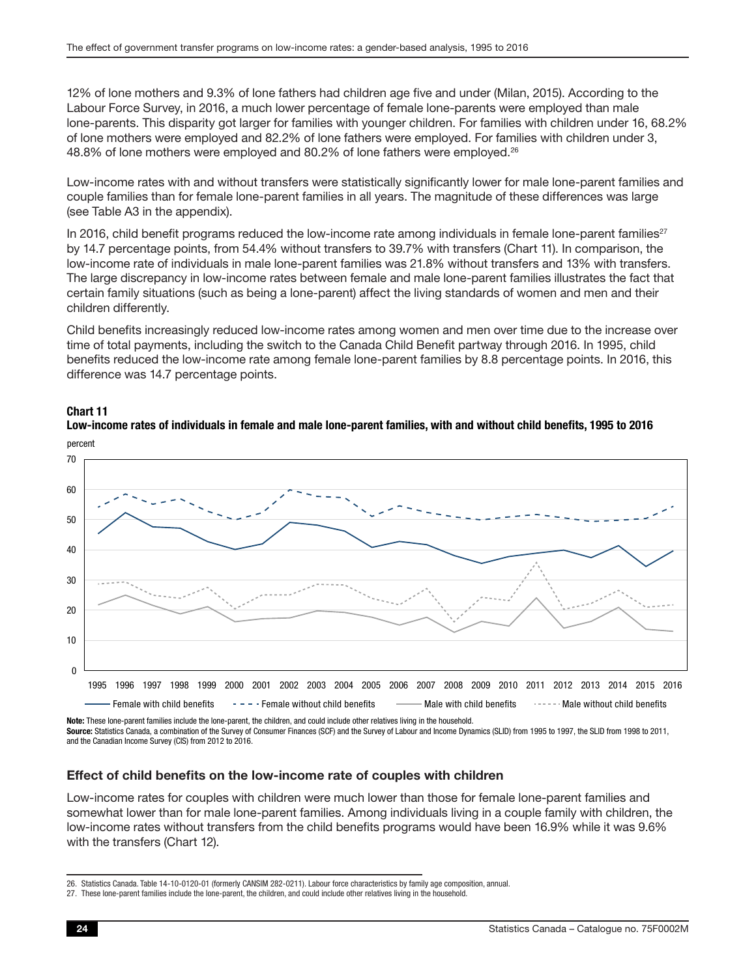<span id="page-23-0"></span>12% of lone mothers and 9.3% of lone fathers had children age five and under (Milan, 2015). According to the Labour Force Survey, in 2016, a much lower percentage of female lone-parents were employed than male lone-parents. This disparity got larger for families with younger children. For families with children under 16, 68.2% of lone mothers were employed and 82.2% of lone fathers were employed. For families with children under 3, 48.8% of lone mothers were employed and 80.2% of lone fathers were employed.<sup>26</sup>

Low-income rates with and without transfers were statistically significantly lower for male lone-parent families and couple families than for female lone-parent families in all years. The magnitude of these differences was large (see Table A3 in the appendix).

In 2016, child benefit programs reduced the low-income rate among individuals in female lone-parent families $^{27}$ by 14.7 percentage points, from 54.4% without transfers to 39.7% with transfers (Chart 11). In comparison, the low-income rate of individuals in male lone-parent families was 21.8% without transfers and 13% with transfers. The large discrepancy in low-income rates between female and male lone-parent families illustrates the fact that certain family situations (such as being a lone-parent) affect the living standards of women and men and their children differently.

Child benefits increasingly reduced low-income rates among women and men over time due to the increase over time of total payments, including the switch to the Canada Child Benefit partway through 2016. In 1995, child benefits reduced the low-income rate among female lone-parent families by 8.8 percentage points. In 2016, this difference was 14.7 percentage points.



#### Chart 11



Note: These lone-parent families include the lone-parent, the children, and could include other relatives living in the household. Source: Statistics Canada, a combination of the Survey of Consumer Finances (SCF) and the Survey of Labour and Income Dynamics (SLID) from 1995 to 1997, the SLID from 1998 to 2011, and the Canadian Income Survey (CIS) from 2012 to 2016.

#### Effect of child benefits on the low-income rate of couples with children

Low-income rates for couples with children were much lower than those for female lone-parent families and somewhat lower than for male lone-parent families. Among individuals living in a couple family with children, the low-income rates without transfers from the child benefits programs would have been 16.9% while it was 9.6% with the transfers (Chart 12).

<sup>26.</sup> Statistics Canada. Table 14-10-0120-01 (formerly CANSIM 282-0211). Labour force characteristics by family age composition, annual.

<sup>27.</sup> These lone-parent families include the lone-parent, the children, and could include other relatives living in the household.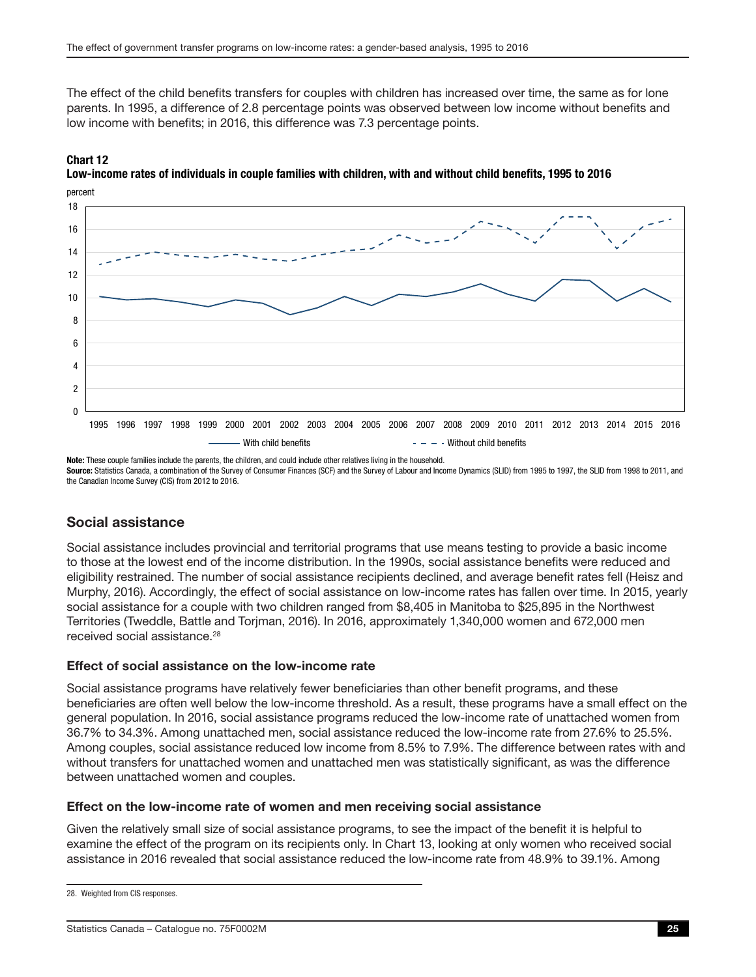<span id="page-24-0"></span>The effect of the child benefits transfers for couples with children has increased over time, the same as for lone parents. In 1995, a difference of 2.8 percentage points was observed between low income without benefits and low income with benefits; in 2016, this difference was 7.3 percentage points.

### 12 - With child benefits  $- - -$  Without child benefits  $\Omega$  $\overline{2}$ 4 6 8 10 14 16 18 1995 1996 1997 1998 1999 2000 2001 2002 2003 2004 2005 2006 2007 2008 2009 2010 2011 2012 2013 2014 2015 2016

percent Chart 12 Low-income rates of individuals in couple families with children, with and without child benefits, 1995 to 2016

Note: These couple families include the parents, the children, and could include other relatives living in the household. Source: Statistics Canada, a combination of the Survey of Consumer Finances (SCF) and the Survey of Labour and Income Dynamics (SLID) from 1995 to 1997, the SLID from 1998 to 2011, and the Canadian Income Survey (CIS) from 2012 to 2016.

### Social assistance

Social assistance includes provincial and territorial programs that use means testing to provide a basic income to those at the lowest end of the income distribution. In the 1990s, social assistance benefits were reduced and eligibility restrained. The number of social assistance recipients declined, and average benefit rates fell (Heisz and Murphy, 2016). Accordingly, the effect of social assistance on low-income rates has fallen over time. In 2015, yearly social assistance for a couple with two children ranged from \$8,405 in Manitoba to \$25,895 in the Northwest Territories (Tweddle, Battle and Torjman, 2016). In 2016, approximately 1,340,000 women and 672,000 men received social assistance.<sup>28</sup>

#### Effect of social assistance on the low-income rate

Social assistance programs have relatively fewer beneficiaries than other benefit programs, and these beneficiaries are often well below the low-income threshold. As a result, these programs have a small effect on the general population. In 2016, social assistance programs reduced the low-income rate of unattached women from 36.7% to 34.3%. Among unattached men, social assistance reduced the low-income rate from 27.6% to 25.5%. Among couples, social assistance reduced low income from 8.5% to 7.9%. The difference between rates with and without transfers for unattached women and unattached men was statistically significant, as was the difference between unattached women and couples.

#### Effect on the low-income rate of women and men receiving social assistance

Given the relatively small size of social assistance programs, to see the impact of the benefit it is helpful to examine the effect of the program on its recipients only. In Chart 13, looking at only women who received social assistance in 2016 revealed that social assistance reduced the low-income rate from 48.9% to 39.1%. Among

<sup>28.</sup> Weighted from CIS responses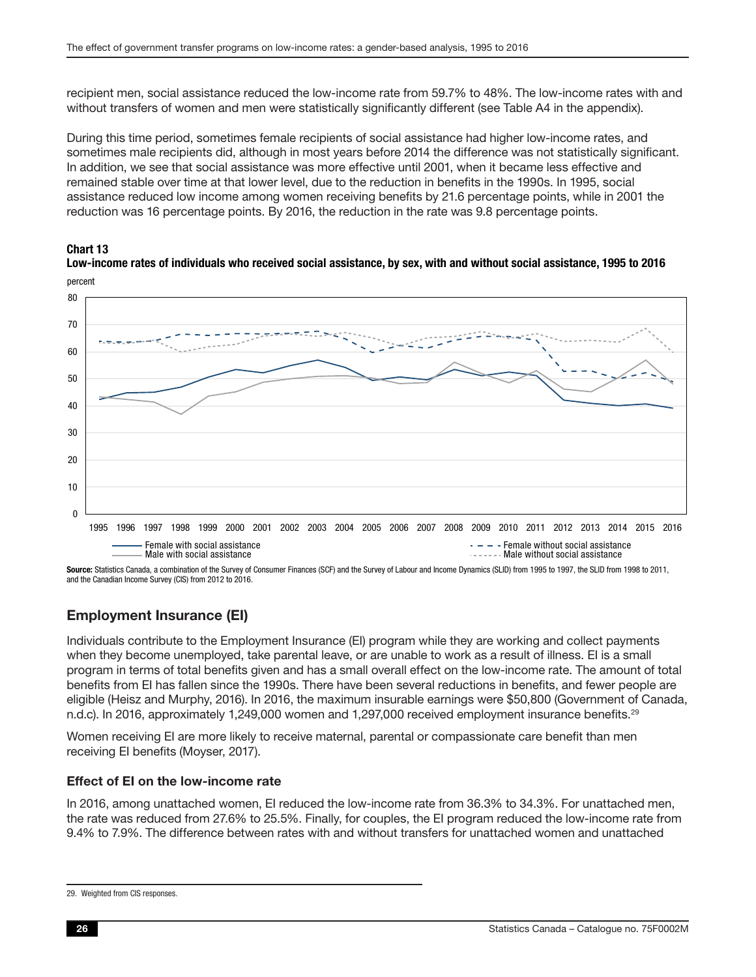<span id="page-25-0"></span>recipient men, social assistance reduced the low-income rate from 59.7% to 48%. The low-income rates with and without transfers of women and men were statistically significantly different (see Table A4 in the appendix).

During this time period, sometimes female recipients of social assistance had higher low-income rates, and sometimes male recipients did, although in most years before 2014 the difference was not statistically significant. In addition, we see that social assistance was more effective until 2001, when it became less effective and remained stable over time at that lower level, due to the reduction in benefits in the 1990s. In 1995, social assistance reduced low income among women receiving benefits by 21.6 percentage points, while in 2001 the reduction was 16 percentage points. By 2016, the reduction in the rate was 9.8 percentage points.





Low-income rates of individuals who received social assistance, by sex, with and without social assistance, 1995 to 2016 percent

Source: Statistics Canada, a combination of the Survey of Consumer Finances (SCF) and the Survey of Labour and Income Dynamics (SLID) from 1995 to 1997, the SLID from 1998 to 2011, and the Canadian Income Survey (CIS) from 2012 to 2016.

### Employment Insurance (EI)

Individuals contribute to the Employment Insurance (EI) program while they are working and collect payments when they become unemployed, take parental leave, or are unable to work as a result of illness. EI is a small program in terms of total benefits given and has a small overall effect on the low-income rate. The amount of total benefits from EI has fallen since the 1990s. There have been several reductions in benefits, and fewer people are eligible (Heisz and Murphy, 2016). In 2016, the maximum insurable earnings were \$50,800 (Government of Canada, n.d.c). In 2016, approximately 1,249,000 women and 1,297,000 received employment insurance benefits.<sup>29</sup>

Women receiving EI are more likely to receive maternal, parental or compassionate care benefit than men receiving EI benefits (Moyser, 2017).

#### Effect of EI on the low-income rate

In 2016, among unattached women, EI reduced the low-income rate from 36.3% to 34.3%. For unattached men, the rate was reduced from 27.6% to 25.5%. Finally, for couples, the EI program reduced the low-income rate from 9.4% to 7.9%. The difference between rates with and without transfers for unattached women and unattached

<sup>29.</sup> Weighted from CIS responses.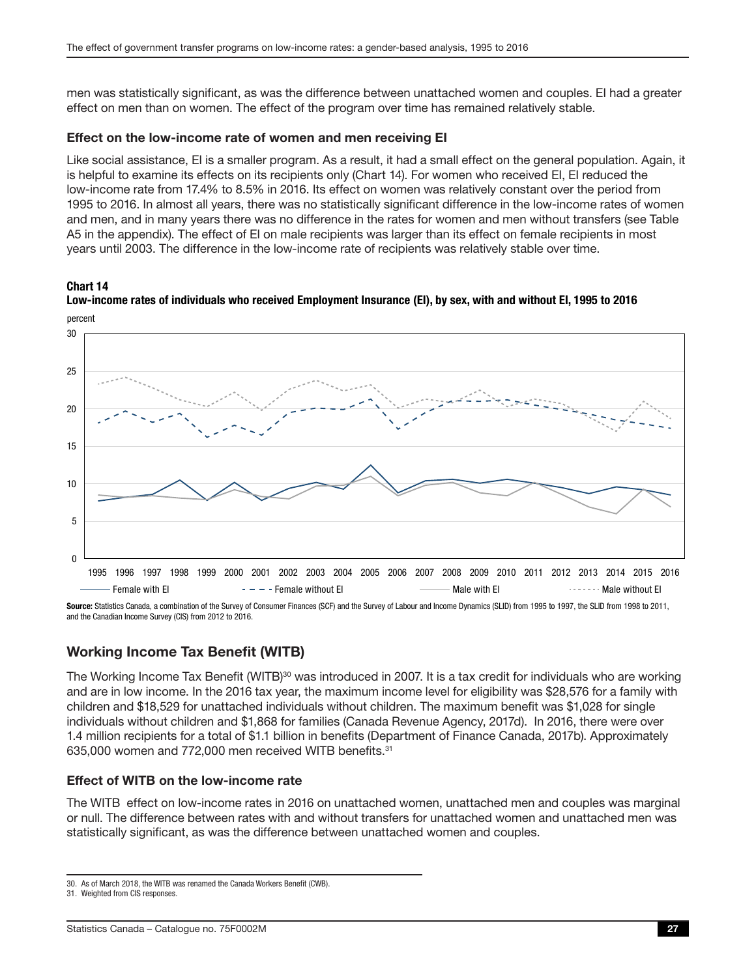<span id="page-26-0"></span>men was statistically significant, as was the difference between unattached women and couples. EI had a greater effect on men than on women. The effect of the program over time has remained relatively stable.

#### Effect on the low-income rate of women and men receiving EI

Like social assistance, EI is a smaller program. As a result, it had a small effect on the general population. Again, it is helpful to examine its effects on its recipients only (Chart 14). For women who received EI, EI reduced the low-income rate from 17.4% to 8.5% in 2016. Its effect on women was relatively constant over the period from 1995 to 2016. In almost all years, there was no statistically significant difference in the low-income rates of women and men, and in many years there was no difference in the rates for women and men without transfers (see Table A5 in the appendix). The effect of EI on male recipients was larger than its effect on female recipients in most years until 2003. The difference in the low-income rate of recipients was relatively stable over time.

#### Chart 14



Low-income rates of individuals who received Employment Insurance (EI), by sex, with and without EI, 1995 to 2016

Source: Statistics Canada, a combination of the Survey of Consumer Finances (SCF) and the Survey of Labour and Income Dynamics (SLID) from 1995 to 1997, the SLID from 1998 to 2011, and the Canadian Income Survey (CIS) from 2012 to 2016.

### Working Income Tax Benefit (WITB)

The Working Income Tax Benefit (WITB)<sup>30</sup> was introduced in 2007. It is a tax credit for individuals who are working and are in low income. In the 2016 tax year, the maximum income level for eligibility was \$28,576 for a family with children and \$18,529 for unattached individuals without children. The maximum benefit was \$1,028 for single individuals without children and \$1,868 for families (Canada Revenue Agency, 2017d). In 2016, there were over 1.4 million recipients for a total of \$1.1 billion in benefits (Department of Finance Canada, 2017b). Approximately 635,000 women and 772,000 men received WITB benefits.31

### Effect of WITB on the low-income rate

The WITB effect on low-income rates in 2016 on unattached women, unattached men and couples was marginal or null. The difference between rates with and without transfers for unattached women and unattached men was statistically significant, as was the difference between unattached women and couples.

<sup>30.</sup> As of March 2018, the WITB was renamed the Canada Workers Benefit (CWB).

<sup>31.</sup> Weighted from CIS responses.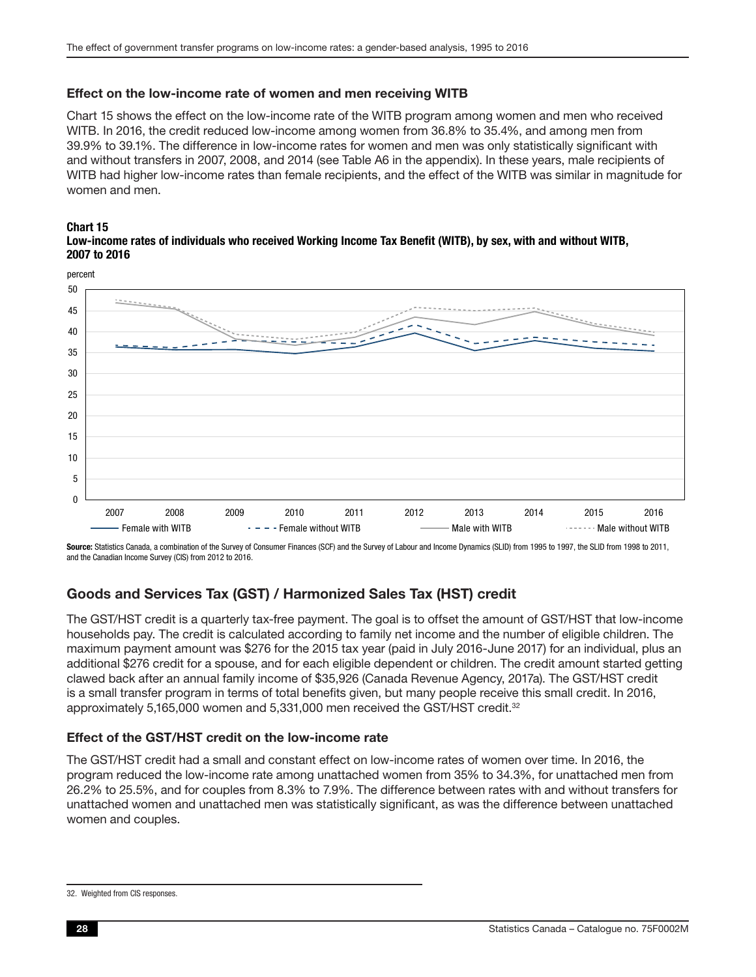#### <span id="page-27-0"></span>Effect on the low-income rate of women and men receiving WITB

Chart 15 shows the effect on the low-income rate of the WITB program among women and men who received WITB. In 2016, the credit reduced low-income among women from 36.8% to 35.4%, and among men from 39.9% to 39.1%. The difference in low-income rates for women and men was only statistically significant with and without transfers in 2007, 2008, and 2014 (see Table A6 in the appendix). In these years, male recipients of WITB had higher low-income rates than female recipients, and the effect of the WITB was similar in magnitude for women and men.





Source: Statistics Canada, a combination of the Survey of Consumer Finances (SCF) and the Survey of Labour and Income Dynamics (SLID) from 1995 to 1997, the SLID from 1998 to 2011, and the Canadian Income Survey (CIS) from 2012 to 2016.

### Goods and Services Tax (GST) / Harmonized Sales Tax (HST) credit

The GST/HST credit is a quarterly tax-free payment. The goal is to offset the amount of GST/HST that low-income households pay. The credit is calculated according to family net income and the number of eligible children. The maximum payment amount was \$276 for the 2015 tax year (paid in July 2016-June 2017) for an individual, plus an additional \$276 credit for a spouse, and for each eligible dependent or children. The credit amount started getting clawed back after an annual family income of \$35,926 (Canada Revenue Agency, 2017a). The GST/HST credit is a small transfer program in terms of total benefits given, but many people receive this small credit. In 2016, approximately 5,165,000 women and 5,331,000 men received the GST/HST credit.<sup>32</sup>

#### Effect of the GST/HST credit on the low-income rate

The GST/HST credit had a small and constant effect on low-income rates of women over time. In 2016, the program reduced the low-income rate among unattached women from 35% to 34.3%, for unattached men from 26.2% to 25.5%, and for couples from 8.3% to 7.9%. The difference between rates with and without transfers for unattached women and unattached men was statistically significant, as was the difference between unattached women and couples.

<sup>32.</sup> Weighted from CIS responses.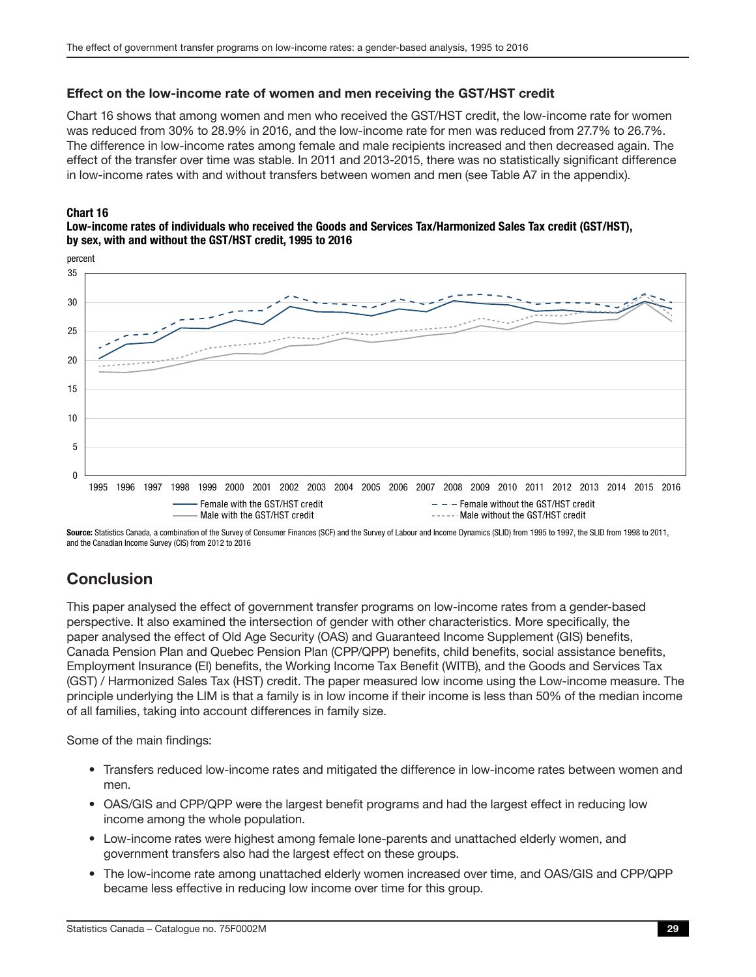#### <span id="page-28-0"></span>Effect on the low-income rate of women and men receiving the GST/HST credit

Chart 16 shows that among women and men who received the GST/HST credit, the low-income rate for women was reduced from 30% to 28.9% in 2016, and the low-income rate for men was reduced from 27.7% to 26.7%. The difference in low-income rates among female and male recipients increased and then decreased again. The effect of the transfer over time was stable. In 2011 and 2013-2015, there was no statistically significant difference in low-income rates with and without transfers between women and men (see Table A7 in the appendix).

#### Chart 16

#### Low-income rates of individuals who received the Goods and Services Tax/Harmonized Sales Tax credit (GST/HST), by sex, with and without the GST/HST credit, 1995 to 2016



Source: Statistics Canada, a combination of the Survey of Consumer Finances (SCF) and the Survey of Labour and Income Dynamics (SLID) from 1995 to 1997, the SLID from 1998 to 2011, and the Canadian Income Survey (CIS) from 2012 to 2016

### **Conclusion**

This paper analysed the effect of government transfer programs on low-income rates from a gender-based perspective. It also examined the intersection of gender with other characteristics. More specifically, the paper analysed the effect of Old Age Security (OAS) and Guaranteed Income Supplement (GIS) benefits, Canada Pension Plan and Quebec Pension Plan (CPP/QPP) benefits, child benefits, social assistance benefits, Employment Insurance (EI) benefits, the Working Income Tax Benefit (WITB), and the Goods and Services Tax (GST) / Harmonized Sales Tax (HST) credit. The paper measured low income using the Low-income measure. The principle underlying the LIM is that a family is in low income if their income is less than 50% of the median income of all families, taking into account differences in family size.

Some of the main findings:

- Transfers reduced low-income rates and mitigated the difference in low-income rates between women and men.
- OAS/GIS and CPP/QPP were the largest benefit programs and had the largest effect in reducing low income among the whole population.
- Low-income rates were highest among female lone-parents and unattached elderly women, and government transfers also had the largest effect on these groups.
- The low-income rate among unattached elderly women increased over time, and OAS/GIS and CPP/QPP became less effective in reducing low income over time for this group.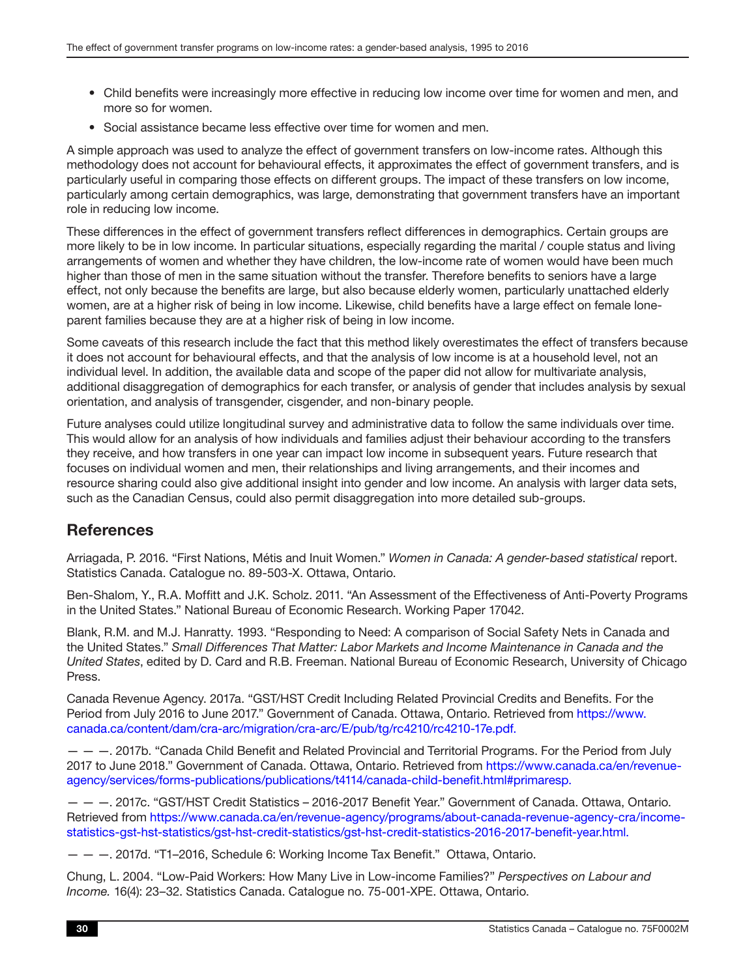- <span id="page-29-0"></span>• Child benefits were increasingly more effective in reducing low income over time for women and men, and more so for women.
- Social assistance became less effective over time for women and men.

A simple approach was used to analyze the effect of government transfers on low-income rates. Although this methodology does not account for behavioural effects, it approximates the effect of government transfers, and is particularly useful in comparing those effects on different groups. The impact of these transfers on low income, particularly among certain demographics, was large, demonstrating that government transfers have an important role in reducing low income.

These differences in the effect of government transfers reflect differences in demographics. Certain groups are more likely to be in low income. In particular situations, especially regarding the marital / couple status and living arrangements of women and whether they have children, the low-income rate of women would have been much higher than those of men in the same situation without the transfer. Therefore benefits to seniors have a large effect, not only because the benefits are large, but also because elderly women, particularly unattached elderly women, are at a higher risk of being in low income. Likewise, child benefits have a large effect on female loneparent families because they are at a higher risk of being in low income.

Some caveats of this research include the fact that this method likely overestimates the effect of transfers because it does not account for behavioural effects, and that the analysis of low income is at a household level, not an individual level. In addition, the available data and scope of the paper did not allow for multivariate analysis, additional disaggregation of demographics for each transfer, or analysis of gender that includes analysis by sexual orientation, and analysis of transgender, cisgender, and non-binary people.

Future analyses could utilize longitudinal survey and administrative data to follow the same individuals over time. This would allow for an analysis of how individuals and families adjust their behaviour according to the transfers they receive, and how transfers in one year can impact low income in subsequent years. Future research that focuses on individual women and men, their relationships and living arrangements, and their incomes and resource sharing could also give additional insight into gender and low income. An analysis with larger data sets, such as the Canadian Census, could also permit disaggregation into more detailed sub-groups.

### **References**

Arriagada, P. 2016. "First Nations, Métis and Inuit Women." *Women in Canada: A gender-based statistical* report. Statistics Canada. Catalogue no. 89-503-X. Ottawa, Ontario.

Ben-Shalom, Y., R.A. Moffitt and J.K. Scholz. 2011. "An Assessment of the Effectiveness of Anti-Poverty Programs in the United States." National Bureau of Economic Research. Working Paper 17042.

Blank, R.M. and M.J. Hanratty. 1993. "Responding to Need: A comparison of Social Safety Nets in Canada and the United States." *Small Differences That Matter: Labor Markets and Income Maintenance in Canada and the United States*, edited by D. Card and R.B. Freeman. National Bureau of Economic Research, University of Chicago Press.

Canada Revenue Agency. 2017a. "GST/HST Credit Including Related Provincial Credits and Benefits. For the Period from July 2016 to June 2017." Government of Canada. Ottawa, Ontario. Retrieved from [https://www.](https://www.canada.ca/content/dam/cra-arc/migration/cra-arc/E/pub/tg/rc4210/rc4210-17e.pdf) [canada.ca/content/dam/cra-arc/migration/cra-arc/E/pub/tg/rc4210/rc4210-17e.pdf.](https://www.canada.ca/content/dam/cra-arc/migration/cra-arc/E/pub/tg/rc4210/rc4210-17e.pdf)

— — —. 2017b. "Canada Child Benefit and Related Provincial and Territorial Programs. For the Period from July 2017 to June 2018." Government of Canada. Ottawa, Ontario. Retrieved from [https://www.canada.ca/en/revenue](https://www.canada.ca/en/revenue-agency/services/forms-publications/publications/t4114/canada-child-benefit.html#primaresp)[agency/services/forms-publications/publications/t4114/canada-child-benefit.html#primaresp.](https://www.canada.ca/en/revenue-agency/services/forms-publications/publications/t4114/canada-child-benefit.html#primaresp)

— — —. 2017c. "GST/HST Credit Statistics – 2016-2017 Benefit Year." Government of Canada. Ottawa, Ontario. Retrieved from [https://www.canada.ca/en/revenue-agency/programs/about-canada-revenue-agency-cra/income](https://www.canada.ca/en/revenue-agency/programs/about-canada-revenue-agency-cra/income-statistics-gst-hst-statistics/gst-hst-credit-statistics/gst-hst-credit-statistics-2016-2017-benefit-year.html)[statistics-gst-hst-statistics/gst-hst-credit-statistics/gst-hst-credit-statistics-2016-2017-benefit-year.html.](https://www.canada.ca/en/revenue-agency/programs/about-canada-revenue-agency-cra/income-statistics-gst-hst-statistics/gst-hst-credit-statistics/gst-hst-credit-statistics-2016-2017-benefit-year.html)

— — —. 2017d. "T1–2016, Schedule 6: Working Income Tax Benefit." Ottawa, Ontario.

Chung, L. 2004. "Low-Paid Workers: How Many Live in Low-income Families?" *Perspectives on Labour and Income.* 16(4): 23–32. Statistics Canada. Catalogue no. 75-001-XPE. Ottawa, Ontario.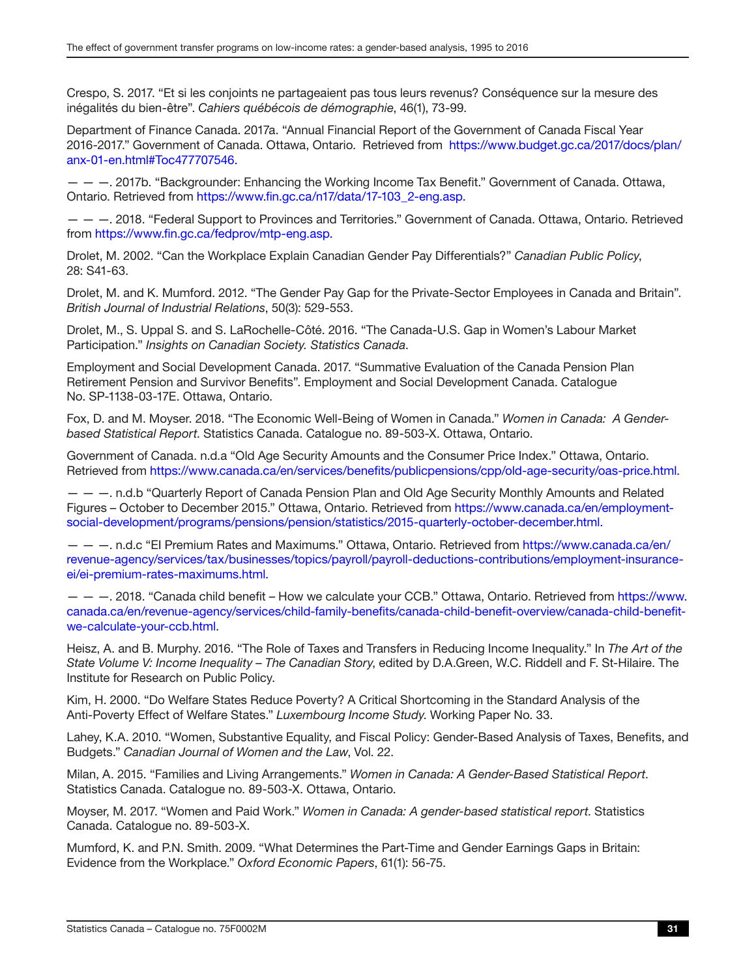Crespo, S. 2017. "Et si les conjoints ne partageaient pas tous leurs revenus? Conséquence sur la mesure des inégalités du bien-être". *Cahiers québécois de démographie*, 46(1), 73-99.

Department of Finance Canada. 2017a. "Annual Financial Report of the Government of Canada Fiscal Year 2016-2017." Government of Canada. Ottawa, Ontario. Retrieved from [https://www.budget.gc.ca/2017/docs/plan/](https://www.budget.gc.ca/2017/docs/plan/anx-01-en.html#Toc477707546) [anx-01-en.html#Toc477707546.](https://www.budget.gc.ca/2017/docs/plan/anx-01-en.html#Toc477707546)

— — —. 2017b. "Backgrounder: Enhancing the Working Income Tax Benefit." Government of Canada. Ottawa, Ontario. Retrieved from [https://www.fin.gc.ca/n17/data/17-103\\_2-eng.asp.](https://www.fin.gc.ca/n17/data/17-103_2-eng.asp)

— — —. 2018. "Federal Support to Provinces and Territories." Government of Canada. Ottawa, Ontario. Retrieved from [https://www.fin.gc.ca/fedprov/mtp-eng.asp.](https://www.fin.gc.ca/fedprov/mtp-eng.asp)

Drolet, M. 2002. "Can the Workplace Explain Canadian Gender Pay Differentials?" *Canadian Public Policy*, 28: S41-63.

Drolet, M. and K. Mumford. 2012. "The Gender Pay Gap for the Private-Sector Employees in Canada and Britain". *British Journal of Industrial Relations*, 50(3): 529-553.

Drolet, M., S. Uppal S. and S. LaRochelle-Côté. 2016. "The Canada-U.S. Gap in Women's Labour Market Participation." *Insights on Canadian Society. Statistics Canada*.

Employment and Social Development Canada. 2017. "Summative Evaluation of the Canada Pension Plan Retirement Pension and Survivor Benefits". Employment and Social Development Canada. Catalogue No. SP-1138-03-17E. Ottawa, Ontario.

Fox, D. and M. Moyser. 2018. "The Economic Well-Being of Women in Canada." *Women in Canada: A Genderbased Statistical Report*. Statistics Canada. Catalogue no. 89-503-X. Ottawa, Ontario.

Government of Canada. n.d.a "Old Age Security Amounts and the Consumer Price Index." Ottawa, Ontario. Retrieved from <https://www.canada.ca/en/services/benefits/publicpensions/cpp/old-age-security/oas-price.html>.

— — —. n.d.b "Quarterly Report of Canada Pension Plan and Old Age Security Monthly Amounts and Related Figures – October to December 2015." Ottawa, Ontario. Retrieved from [https://www.canada.ca/en/employment](https://www.canada.ca/en/employment-social-development/programs/pensions/pension/statistics/2015-quarterly-october-december.html)[social-development/programs/pensions/pension/statistics/2015-quarterly-october-december.html.](https://www.canada.ca/en/employment-social-development/programs/pensions/pension/statistics/2015-quarterly-october-december.html)

— — —. n.d.c "EI Premium Rates and Maximums." Ottawa, Ontario. Retrieved from [https://www.canada.ca/en/](https://www.canada.ca/en/revenue-agency/services/tax/businesses/topics/payroll/payroll-deductions-contributions/employment-insurance-ei/ei-premium-rates-maximums.html) [revenue-agency/services/tax/businesses/topics/payroll/payroll-deductions-contributions/employment-insurance](https://www.canada.ca/en/revenue-agency/services/tax/businesses/topics/payroll/payroll-deductions-contributions/employment-insurance-ei/ei-premium-rates-maximums.html)[ei/ei-premium-rates-maximums.html.](https://www.canada.ca/en/revenue-agency/services/tax/businesses/topics/payroll/payroll-deductions-contributions/employment-insurance-ei/ei-premium-rates-maximums.html)

— — —. 2018. "Canada child benefit – How we calculate your CCB." Ottawa, Ontario. Retrieved from [https://www.](https://www.canada.ca/en/revenue-agency/services/child-family-benefits/canada-child-benefit-overview/canada-child-benefit-we-calculate-your-ccb.html) [canada.ca/en/revenue-agency/services/child-family-benefits/canada-child-benefit-overview/canada-child-benefit](https://www.canada.ca/en/revenue-agency/services/child-family-benefits/canada-child-benefit-overview/canada-child-benefit-we-calculate-your-ccb.html)[we-calculate-your-ccb.html.](https://www.canada.ca/en/revenue-agency/services/child-family-benefits/canada-child-benefit-overview/canada-child-benefit-we-calculate-your-ccb.html)

Heisz, A. and B. Murphy. 2016. "The Role of Taxes and Transfers in Reducing Income Inequality." In *The Art of the State Volume V: Income Inequality – The Canadian Story*, edited by D.A.Green, W.C. Riddell and F. St-Hilaire. The Institute for Research on Public Policy.

Kim, H. 2000. "Do Welfare States Reduce Poverty? A Critical Shortcoming in the Standard Analysis of the Anti-Poverty Effect of Welfare States." *Luxembourg Income Study*. Working Paper No. 33.

Lahey, K.A. 2010. "Women, Substantive Equality, and Fiscal Policy: Gender-Based Analysis of Taxes, Benefits, and Budgets." *Canadian Journal of Women and the Law*, Vol. 22.

Milan, A. 2015. "Families and Living Arrangements." *Women in Canada: A Gender-Based Statistical Report*. Statistics Canada. Catalogue no. 89-503-X. Ottawa, Ontario.

Moyser, M. 2017. "Women and Paid Work." *Women in Canada: A gender-based statistical report*. Statistics Canada. Catalogue no. 89-503-X.

Mumford, K. and P.N. Smith. 2009. "What Determines the Part-Time and Gender Earnings Gaps in Britain: Evidence from the Workplace." *Oxford Economic Papers*, 61(1): 56-75.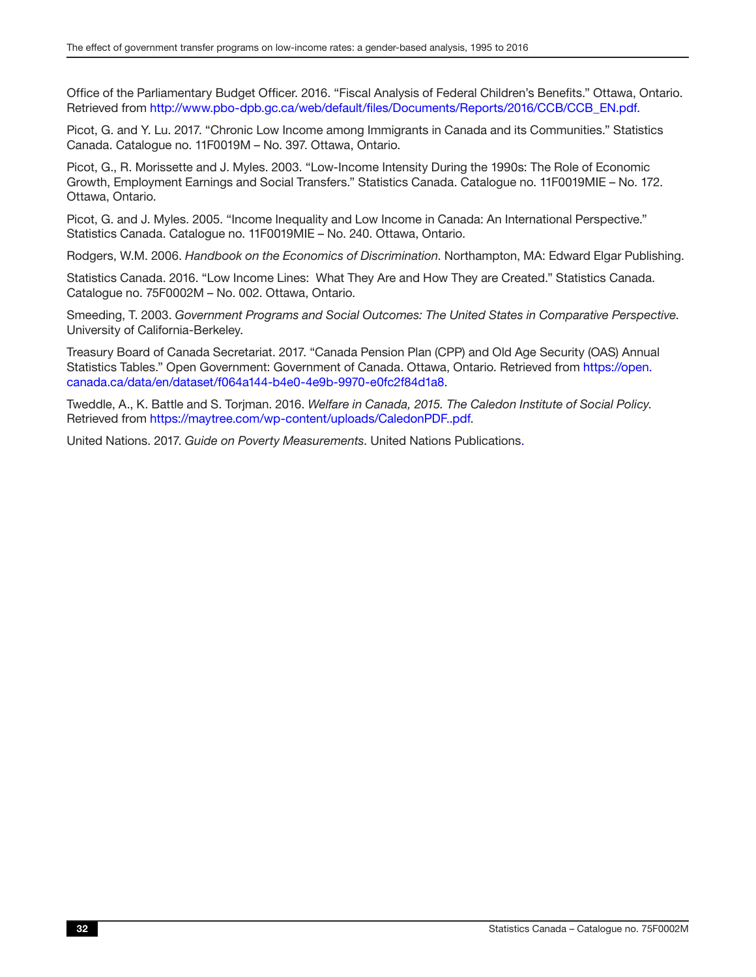Office of the Parliamentary Budget Officer. 2016. "Fiscal Analysis of Federal Children's Benefits." Ottawa, Ontario. Retrieved from [http://www.pbo-dpb.gc.ca/web/default/files/Documents/Reports/2016/CCB/CCB\\_EN.pdf.](http://www.pbo-dpb.gc.ca/web/default/files/Documents/Reports/2016/CCB/CCB_EN.pdf)

Picot, G. and Y. Lu. 2017. "Chronic Low Income among Immigrants in Canada and its Communities." Statistics Canada. Catalogue no. 11F0019M – No. 397. Ottawa, Ontario.

Picot, G., R. Morissette and J. Myles. 2003. "Low-Income Intensity During the 1990s: The Role of Economic Growth, Employment Earnings and Social Transfers." Statistics Canada. Catalogue no. 11F0019MIE – No. 172. Ottawa, Ontario.

Picot, G. and J. Myles. 2005. "Income Inequality and Low Income in Canada: An International Perspective." Statistics Canada. Catalogue no. 11F0019MIE – No. 240. Ottawa, Ontario.

Rodgers, W.M. 2006. *Handbook on the Economics of Discrimination*. Northampton, MA: Edward Elgar Publishing.

Statistics Canada. 2016. "Low Income Lines: What They Are and How They are Created." Statistics Canada. Catalogue no. 75F0002M – No. 002. Ottawa, Ontario.

Smeeding, T. 2003. *Government Programs and Social Outcomes: The United States in Comparative Perspective*. University of California-Berkeley.

Treasury Board of Canada Secretariat. 2017. "Canada Pension Plan (CPP) and Old Age Security (OAS) Annual Statistics Tables." Open Government: Government of Canada. Ottawa, Ontario. Retrieved from [https://open.](https://open.canada.ca/data/en/dataset/f064a144-b4e0-4e9b-9970-e0fc2f84d1a8) [canada.ca/data/en/dataset/f064a144-b4e0-4e9b-9970-e0fc2f84d1a8.](https://open.canada.ca/data/en/dataset/f064a144-b4e0-4e9b-9970-e0fc2f84d1a8)

Tweddle, A., K. Battle and S. Torjman. 2016. *Welfare in Canada, 2015. The Caledon Institute of Social Policy*. Retrieved from [https://maytree.com/wp-content/uploads/CaledonP](https://maytree.com/wp-content/uploads/CaledonPDF..pdf)DF..pdf.

United Nations. 2017. *Guide on Poverty Measurements*. United Nations Publications.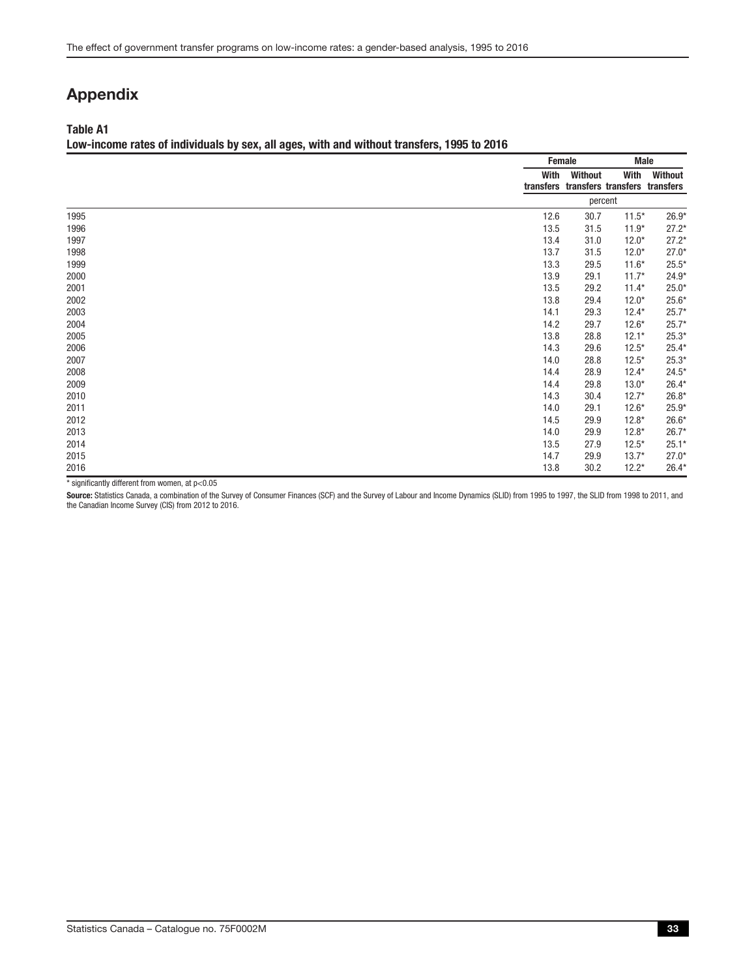### <span id="page-32-0"></span>Appendix

#### Table A1

#### Low-income rates of individuals by sex, all ages, with and without transfers, 1995 to 2016

|                | Female |                | <b>Male</b>                                     |         |
|----------------|--------|----------------|-------------------------------------------------|---------|
|                | With   | <b>Without</b> | With<br>transfers transfers transfers transfers | Without |
|                |        | percent        |                                                 |         |
| 1995           | 12.6   | 30.7           | $11.5*$                                         | $26.9*$ |
| 1996           | 13.5   | 31.5           | $11.9*$                                         | $27.2*$ |
| 1997           | 13.4   | 31.0           | $12.0*$                                         | $27.2*$ |
| 1998           | 13.7   | 31.5           | $12.0*$                                         | $27.0*$ |
| 1999           | 13.3   | 29.5           | $11.6*$                                         | $25.5*$ |
| 2000           | 13.9   | 29.1           | $11.7*$                                         | $24.9*$ |
| 2001           | 13.5   | 29.2           | $11.4*$                                         | $25.0*$ |
| 2002           | 13.8   | 29.4           | $12.0*$                                         | $25.6*$ |
| 2003           | 14.1   | 29.3           | $12.4*$                                         | $25.7*$ |
| 2004           | 14.2   | 29.7           | $12.6*$                                         | $25.7*$ |
| 2005           | 13.8   | 28.8           | $12.1*$                                         | $25.3*$ |
| 2006           | 14.3   | 29.6           | $12.5*$                                         | $25.4*$ |
| 2007           | 14.0   | 28.8           | $12.5*$                                         | $25.3*$ |
| 2008           | 14.4   | 28.9           | $12.4*$                                         | $24.5*$ |
| 2009           | 14.4   | 29.8           | $13.0*$                                         | $26.4*$ |
| 2010           | 14.3   | 30.4           | $12.7*$                                         | $26.8*$ |
| 2011           | 14.0   | 29.1           | $12.6*$                                         | $25.9*$ |
| 2012           | 14.5   | 29.9           | $12.8*$                                         | $26.6*$ |
| 2013           | 14.0   | 29.9           | $12.8*$                                         | $26.7*$ |
| 2014           | 13.5   | 27.9           | $12.5*$                                         | $25.1*$ |
| 2015           | 14.7   | 29.9           | $13.7*$                                         | $27.0*$ |
| 2016<br>$\sim$ | 13.8   | 30.2           | $12.2*$                                         | $26.4*$ |

 $*$  significantly different from women, at p<0.05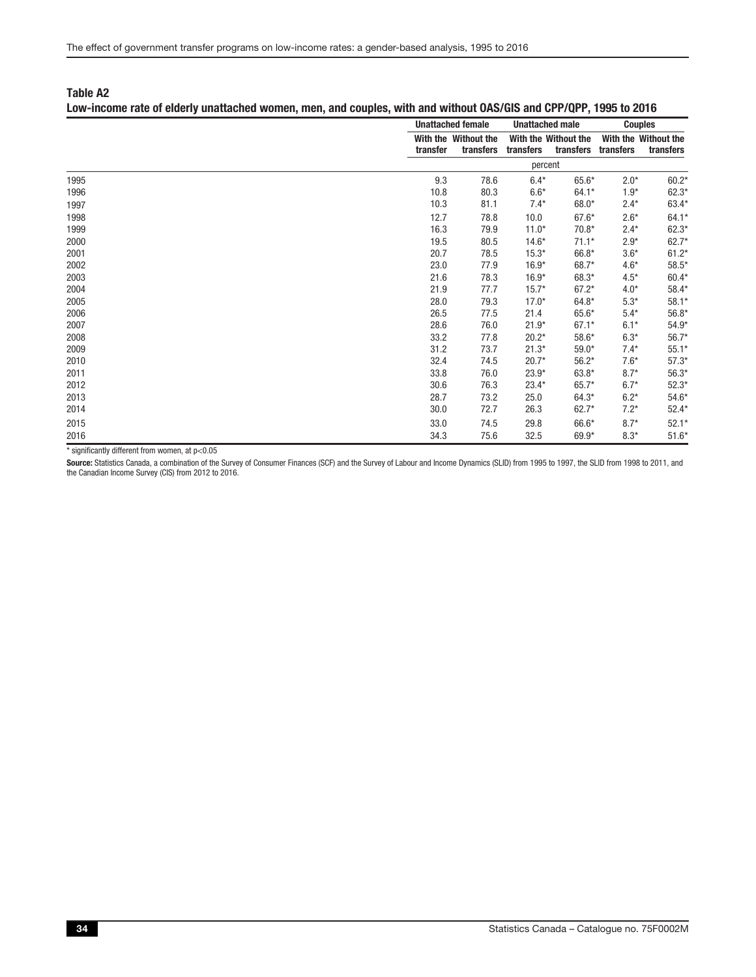#### Low-income rate of elderly unattached women, men, and couples, with and without OAS/GIS and CPP/QPP, 1995 to 2016

|      |          | <b>Unattached female</b>          |           | <b>Unattached male</b>            |           | <b>Couples</b>                    |
|------|----------|-----------------------------------|-----------|-----------------------------------|-----------|-----------------------------------|
|      | transfer | With the Without the<br>transfers | transfers | With the Without the<br>transfers | transfers | With the Without the<br>transfers |
|      |          |                                   | percent   |                                   |           |                                   |
| 1995 | 9.3      | 78.6                              | $6.4*$    | 65.6*                             | $2.0*$    | $60.2*$                           |
| 1996 | 10.8     | 80.3                              | $6.6*$    | $64.1*$                           | $1.9*$    | $62.3*$                           |
| 1997 | 10.3     | 81.1                              | $7.4*$    | $68.0*$                           | $2.4*$    | 63.4*                             |
| 1998 | 12.7     | 78.8                              | 10.0      | $67.6*$                           | $2.6*$    | $64.1*$                           |
| 1999 | 16.3     | 79.9                              | $11.0*$   | $70.8*$                           | $2.4*$    | $62.3*$                           |
| 2000 | 19.5     | 80.5                              | $14.6*$   | $71.1*$                           | $2.9*$    | $62.7*$                           |
| 2001 | 20.7     | 78.5                              | $15.3*$   | 66.8*                             | $3.6*$    | $61.2*$                           |
| 2002 | 23.0     | 77.9                              | $16.9*$   | 68.7*                             | $4.6*$    | $58.5*$                           |
| 2003 | 21.6     | 78.3                              | $16.9*$   | 68.3*                             | $4.5*$    | $60.4*$                           |
| 2004 | 21.9     | 77.7                              | $15.7*$   | $67.2*$                           | $4.0*$    | $58.4*$                           |
| 2005 | 28.0     | 79.3                              | $17.0*$   | $64.8*$                           | $5.3*$    | $58.1*$                           |
| 2006 | 26.5     | 77.5                              | 21.4      | $65.6*$                           | $5.4*$    | $56.8*$                           |
| 2007 | 28.6     | 76.0                              | $21.9*$   | $67.1*$                           | $6.1*$    | $54.9*$                           |
| 2008 | 33.2     | 77.8                              | $20.2*$   | $58.6*$                           | $6.3*$    | $56.7*$                           |
| 2009 | 31.2     | 73.7                              | $21.3*$   | $59.0*$                           | $7.4*$    | $55.1*$                           |
| 2010 | 32.4     | 74.5                              | $20.7*$   | $56.2*$                           | $7.6*$    | $57.3*$                           |
| 2011 | 33.8     | 76.0                              | $23.9*$   | $63.8*$                           | $8.7*$    | $56.3*$                           |
| 2012 | 30.6     | 76.3                              | $23.4*$   | $65.7*$                           | $6.7*$    | $52.3*$                           |
| 2013 | 28.7     | 73.2                              | 25.0      | $64.3*$                           | $6.2*$    | $54.6*$                           |
| 2014 | 30.0     | 72.7                              | 26.3      | $62.7*$                           | $7.2*$    | $52.4*$                           |
| 2015 | 33.0     | 74.5                              | 29.8      | 66.6*                             | $8.7*$    | $52.1*$                           |
| 2016 | 34.3     | 75.6                              | 32.5      | 69.9*                             | $8.3*$    | $51.6*$                           |

 $*$  significantly different from women, at  $p<0.05$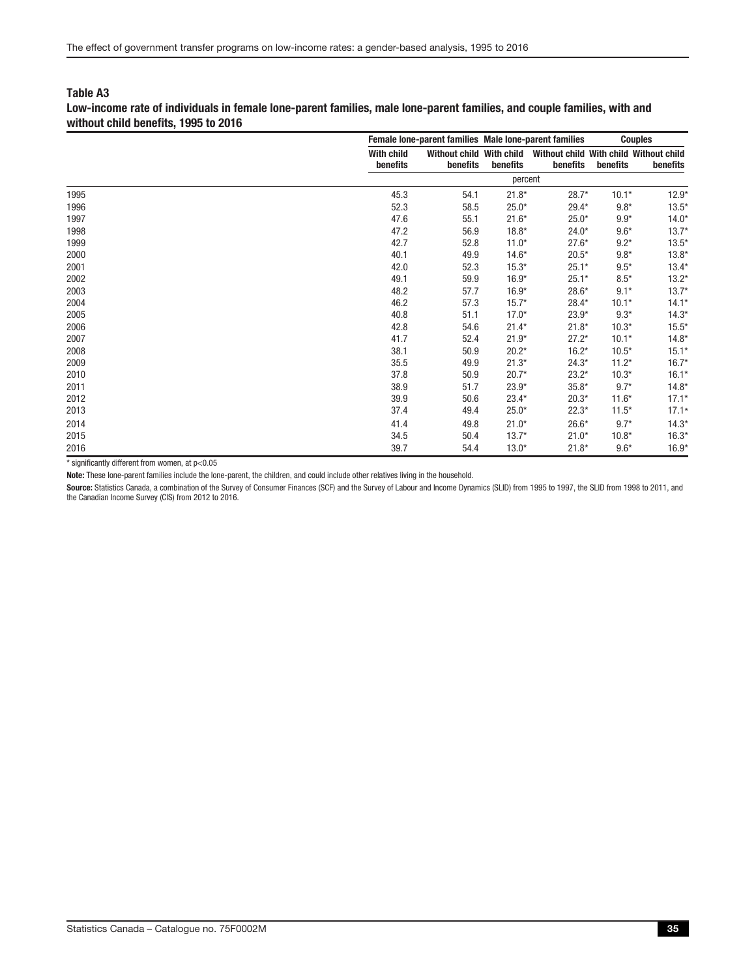Low-income rate of individuals in female lone-parent families, male lone-parent families, and couple families, with and without child benefits, 1995 to 2016

|      |                               | Female lone-parent families Male lone-parent families |          |                                                    | <b>Couples</b> |          |  |
|------|-------------------------------|-------------------------------------------------------|----------|----------------------------------------------------|----------------|----------|--|
|      | <b>With child</b><br>benefits | Without child With child<br>benefits                  | benefits | Without child With child Without child<br>benefits | benefits       | benefits |  |
|      |                               |                                                       | percent  |                                                    |                |          |  |
| 1995 | 45.3                          | 54.1                                                  | $21.8*$  | $28.7*$                                            | $10.1*$        | $12.9*$  |  |
| 1996 | 52.3                          | 58.5                                                  | $25.0*$  | $29.4*$                                            | $9.8*$         | $13.5*$  |  |
| 1997 | 47.6                          | 55.1                                                  | $21.6*$  | $25.0*$                                            | $9.9*$         | $14.0*$  |  |
| 1998 | 47.2                          | 56.9                                                  | $18.8*$  | $24.0*$                                            | $9.6*$         | $13.7*$  |  |
| 1999 | 42.7                          | 52.8                                                  | $11.0*$  | $27.6*$                                            | $9.2*$         | $13.5*$  |  |
| 2000 | 40.1                          | 49.9                                                  | $14.6*$  | $20.5*$                                            | $9.8*$         | $13.8*$  |  |
| 2001 | 42.0                          | 52.3                                                  | $15.3*$  | $25.1*$                                            | $9.5*$         | $13.4*$  |  |
| 2002 | 49.1                          | 59.9                                                  | $16.9*$  | $25.1*$                                            | $8.5*$         | $13.2*$  |  |
| 2003 | 48.2                          | 57.7                                                  | $16.9*$  | $28.6*$                                            | $9.1*$         | $13.7*$  |  |
| 2004 | 46.2                          | 57.3                                                  | $15.7*$  | $28.4*$                                            | $10.1*$        | $14.1*$  |  |
| 2005 | 40.8                          | 51.1                                                  | $17.0*$  | $23.9*$                                            | $9.3*$         | $14.3*$  |  |
| 2006 | 42.8                          | 54.6                                                  | $21.4*$  | $21.8*$                                            | $10.3*$        | $15.5*$  |  |
| 2007 | 41.7                          | 52.4                                                  | $21.9*$  | $27.2*$                                            | $10.1*$        | $14.8*$  |  |
| 2008 | 38.1                          | 50.9                                                  | $20.2*$  | $16.2*$                                            | $10.5*$        | $15.1*$  |  |
| 2009 | 35.5                          | 49.9                                                  | $21.3*$  | $24.3*$                                            | $11.2*$        | $16.7*$  |  |
| 2010 | 37.8                          | 50.9                                                  | $20.7*$  | $23.2*$                                            | $10.3*$        | $16.1*$  |  |
| 2011 | 38.9                          | 51.7                                                  | $23.9*$  | $35.8*$                                            | $9.7*$         | $14.8*$  |  |
| 2012 | 39.9                          | 50.6                                                  | $23.4*$  | $20.3*$                                            | $11.6*$        | $17.1*$  |  |
| 2013 | 37.4                          | 49.4                                                  | $25.0*$  | $22.3*$                                            | $11.5*$        | $17.1*$  |  |
| 2014 | 41.4                          | 49.8                                                  | $21.0*$  | $26.6*$                                            | $9.7*$         | $14.3*$  |  |
| 2015 | 34.5                          | 50.4                                                  | $13.7*$  | $21.0*$                                            | $10.8*$        | $16.3*$  |  |
| 2016 | 39.7                          | 54.4                                                  | $13.0*$  | $21.8*$                                            | $9.6*$         | $16.9*$  |  |

 $*$  significantly different from women, at  $p<0.05$ 

Note: These lone-parent families include the lone-parent, the children, and could include other relatives living in the household.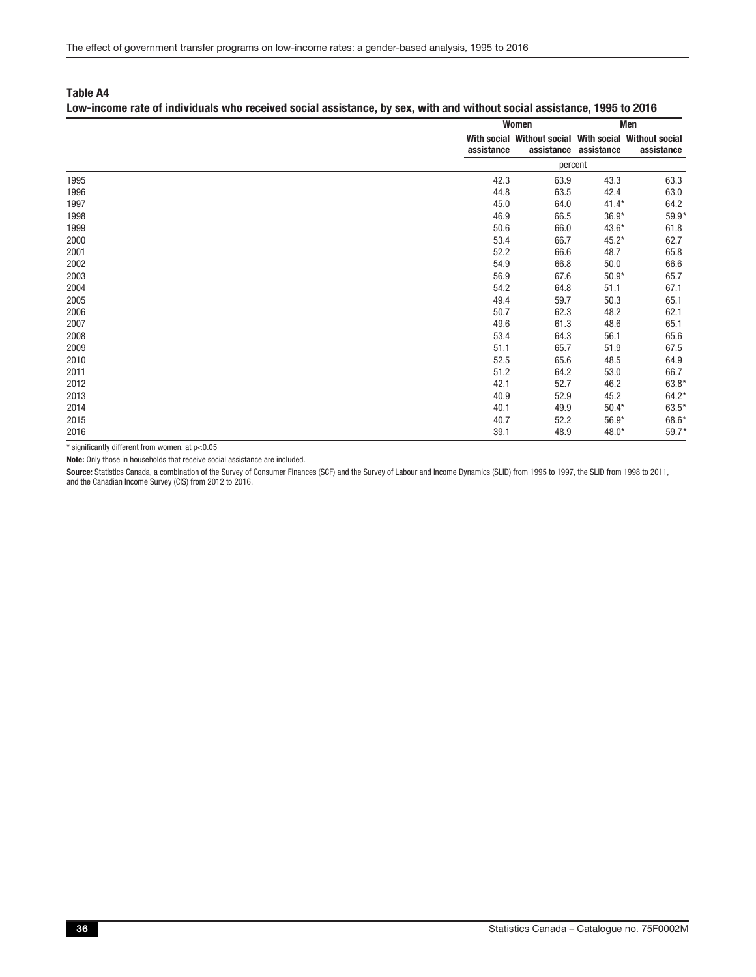#### Low-income rate of individuals who received social assistance, by sex, with and without social assistance, 1995 to 2016

|      |            | Women                                                 | Men                   |            |  |
|------|------------|-------------------------------------------------------|-----------------------|------------|--|
|      | assistance | With social Without social With social Without social | assistance assistance | assistance |  |
|      |            | percent                                               |                       |            |  |
| 1995 | 42.3       | 63.9                                                  | 43.3                  | 63.3       |  |
| 1996 | 44.8       | 63.5                                                  | 42.4                  | 63.0       |  |
| 1997 | 45.0       | 64.0                                                  | $41.4*$               | 64.2       |  |
| 1998 | 46.9       | 66.5                                                  | $36.9*$               | 59.9*      |  |
| 1999 | 50.6       | 66.0                                                  | $43.6*$               | 61.8       |  |
| 2000 | 53.4       | 66.7                                                  | $45.2*$               | 62.7       |  |
| 2001 | 52.2       | 66.6                                                  | 48.7                  | 65.8       |  |
| 2002 | 54.9       | 66.8                                                  | 50.0                  | 66.6       |  |
| 2003 | 56.9       | 67.6                                                  | $50.9*$               | 65.7       |  |
| 2004 | 54.2       | 64.8                                                  | 51.1                  | 67.1       |  |
| 2005 | 49.4       | 59.7                                                  | 50.3                  | 65.1       |  |
| 2006 | 50.7       | 62.3                                                  | 48.2                  | 62.1       |  |
| 2007 | 49.6       | 61.3                                                  | 48.6                  | 65.1       |  |
| 2008 | 53.4       | 64.3                                                  | 56.1                  | 65.6       |  |
| 2009 | 51.1       | 65.7                                                  | 51.9                  | 67.5       |  |
| 2010 | 52.5       | 65.6                                                  | 48.5                  | 64.9       |  |
| 2011 | 51.2       | 64.2                                                  | 53.0                  | 66.7       |  |
| 2012 | 42.1       | 52.7                                                  | 46.2                  | 63.8*      |  |
| 2013 | 40.9       | 52.9                                                  | 45.2                  | $64.2*$    |  |
| 2014 | 40.1       | 49.9                                                  | $50.4*$               | 63.5*      |  |
| 2015 | 40.7       | 52.2                                                  | $56.9*$               | 68.6*      |  |
| 2016 | 39.1       | 48.9                                                  | 48.0*                 | $59.7*$    |  |

 $*$  significantly different from women, at  $p<0.05$ 

Note: Only those in households that receive social assistance are included.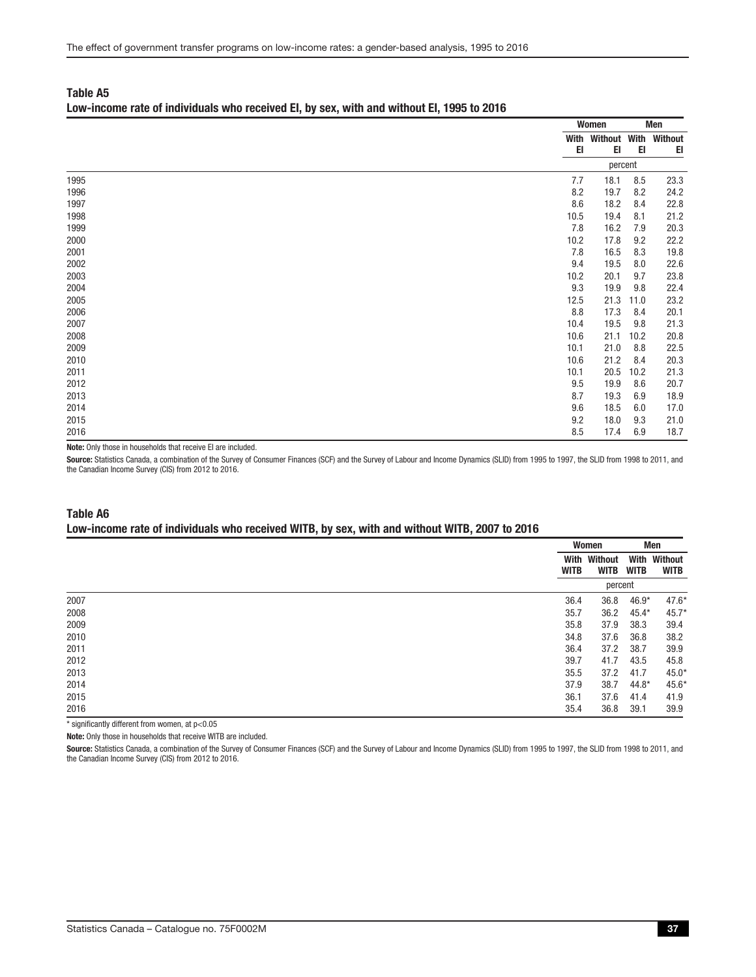#### Low-income rate of individuals who received EI, by sex, with and without EI, 1995 to 2016

|                |      | Women                     |      | Men  |
|----------------|------|---------------------------|------|------|
|                |      | With Without With Without |      |      |
|                | EI   | EI                        | EI   | EI   |
|                |      | percent                   |      |      |
| 1995           | 7.7  | 18.1                      | 8.5  | 23.3 |
| 1996           | 8.2  | 19.7                      | 8.2  | 24.2 |
| 1997           | 8.6  | 18.2                      | 8.4  | 22.8 |
| 1998           | 10.5 | 19.4                      | 8.1  | 21.2 |
| 1999           | 7.8  | 16.2                      | 7.9  | 20.3 |
| 2000           | 10.2 | 17.8                      | 9.2  | 22.2 |
| 2001           | 7.8  | 16.5                      | 8.3  | 19.8 |
| 2002           | 9.4  | 19.5                      | 8.0  | 22.6 |
| 2003           | 10.2 | 20.1                      | 9.7  | 23.8 |
| 2004           | 9.3  | 19.9                      | 9.8  | 22.4 |
| 2005           | 12.5 | 21.3                      | 11.0 | 23.2 |
| 2006           | 8.8  | 17.3                      | 8.4  | 20.1 |
| 2007           | 10.4 | 19.5                      | 9.8  | 21.3 |
| 2008           | 10.6 | 21.1                      | 10.2 | 20.8 |
| 2009           | 10.1 | 21.0                      | 8.8  | 22.5 |
| 2010           | 10.6 | 21.2                      | 8.4  | 20.3 |
| 2011           | 10.1 | 20.5                      | 10.2 | 21.3 |
| 2012           | 9.5  | 19.9                      | 8.6  | 20.7 |
| 2013           | 8.7  | 19.3                      | 6.9  | 18.9 |
| 2014           | 9.6  | 18.5                      | 6.0  | 17.0 |
| 2015           | 9.2  | 18.0                      | 9.3  | 21.0 |
| 2016<br>$\sim$ | 8.5  | 17.4                      | 6.9  | 18.7 |

Note: Only those in households that receive EI are included.

Source: Statistics Canada, a combination of the Survey of Consumer Finances (SCF) and the Survey of Labour and Income Dynamics (SLID) from 1995 to 1997, the SLID from 1998 to 2011, and the Canadian Income Survey (CIS) from 2012 to 2016.

#### Table A6 Low-income rate of individuals who received WITB, by sex, with and without WITB, 2007 to 2016

|      |                     | Women                  |                     | Men                    |  |
|------|---------------------|------------------------|---------------------|------------------------|--|
|      | With<br><b>WITB</b> | Without<br><b>WITB</b> | With<br><b>WITB</b> | Without<br><b>WITB</b> |  |
|      |                     | percent                |                     |                        |  |
| 2007 | 36.4                | 36.8                   | 46.9*               | $47.6*$                |  |
| 2008 | 35.7                | 36.2                   | $45.4*$             | $45.7*$                |  |
| 2009 | 35.8                | 37.9                   | 38.3                | 39.4                   |  |
| 2010 | 34.8                | 37.6                   | 36.8                | 38.2                   |  |
| 2011 | 36.4                | 37.2                   | 38.7                | 39.9                   |  |
| 2012 | 39.7                | 41.7                   | 43.5                | 45.8                   |  |
| 2013 | 35.5                | 37.2                   | 41.7                | $45.0*$                |  |
| 2014 | 37.9                | 38.7                   | $44.8*$             | $45.6*$                |  |
| 2015 | 36.1                | 37.6                   | 41.4                | 41.9                   |  |
| 2016 | 35.4                | 36.8                   | 39.1                | 39.9                   |  |

 $*$  significantly different from women, at  $p<0.05$ 

Note: Only those in households that receive WITB are included.